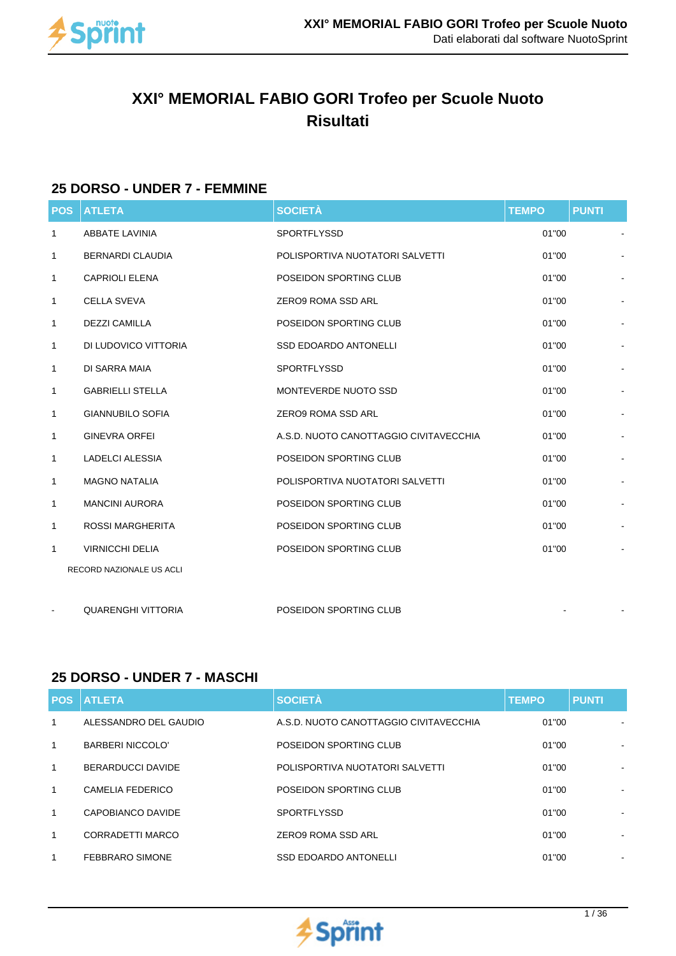

# **XXI° MEMORIAL FABIO GORI Trofeo per Scuole Nuoto Risultati**

## **25 DORSO - UNDER 7 - FEMMINE**

| <b>POS</b>   | <b>ATLETA</b>            | <b>SOCIETÀ</b>                         | <b>TEMPO</b> | <b>PUNTI</b> |                          |
|--------------|--------------------------|----------------------------------------|--------------|--------------|--------------------------|
| $\mathbf{1}$ | <b>ABBATE LAVINIA</b>    | <b>SPORTFLYSSD</b>                     | 01"00        |              |                          |
| 1            | <b>BERNARDI CLAUDIA</b>  | POLISPORTIVA NUOTATORI SALVETTI        | 01"00        |              |                          |
| 1            | <b>CAPRIOLI ELENA</b>    | POSEIDON SPORTING CLUB                 | 01"00        |              |                          |
| 1            | <b>CELLA SVEVA</b>       | ZERO9 ROMA SSD ARL                     | 01"00        |              |                          |
| 1            | <b>DEZZI CAMILLA</b>     | POSEIDON SPORTING CLUB                 | 01"00        |              |                          |
| $\mathbf{1}$ | DI LUDOVICO VITTORIA     | <b>SSD EDOARDO ANTONELLI</b>           | 01"00        |              |                          |
| 1            | DI SARRA MAIA            | <b>SPORTFLYSSD</b>                     | 01"00        |              | $\overline{\phantom{a}}$ |
| 1            | <b>GABRIELLI STELLA</b>  | MONTEVERDE NUOTO SSD                   | 01"00        |              |                          |
| $\mathbf{1}$ | <b>GIANNUBILO SOFIA</b>  | <b>ZERO9 ROMA SSD ARL</b>              | 01"00        |              |                          |
| 1            | <b>GINEVRA ORFEI</b>     | A.S.D. NUOTO CANOTTAGGIO CIVITAVECCHIA | 01"00        |              |                          |
| 1            | <b>LADELCI ALESSIA</b>   | POSEIDON SPORTING CLUB                 | 01"00        |              |                          |
| $\mathbf{1}$ | <b>MAGNO NATALIA</b>     | POLISPORTIVA NUOTATORI SALVETTI        | 01"00        |              |                          |
| 1            | <b>MANCINI AURORA</b>    | POSEIDON SPORTING CLUB                 | 01"00        |              |                          |
| $\mathbf{1}$ | <b>ROSSI MARGHERITA</b>  | POSEIDON SPORTING CLUB                 | 01"00        |              |                          |
| 1            | <b>VIRNICCHI DELIA</b>   | POSEIDON SPORTING CLUB                 | 01"00        |              |                          |
|              | RECORD NAZIONALE US ACLI |                                        |              |              |                          |
|              |                          |                                        |              |              |                          |

#### **25 DORSO - UNDER 7 - MASCHI**

QUARENGHI VITTORIA **POSEIDON SPORTING CLUB** 

|   | <b>POS ATLETA</b>      | <b>SOCIETÀ</b>                         | <b>TEMPO</b> | <b>PUNTI</b>                 |
|---|------------------------|----------------------------------------|--------------|------------------------------|
| 1 | ALESSANDRO DEL GAUDIO  | A.S.D. NUOTO CANOTTAGGIO CIVITAVECCHIA | 01"00        |                              |
| 1 | BARBERI NICCOLO'       | POSEIDON SPORTING CLUB                 | 01"00        |                              |
| 1 | BERARDUCCI DAVIDE      | POLISPORTIVA NUOTATORI SALVETTI        | 01"00        | ٠                            |
| 1 | CAMELIA FEDERICO       | POSEIDON SPORTING CLUB                 | 01"00        | $\qquad \qquad \blacksquare$ |
| 1 | CAPOBIANCO DAVIDE      | <b>SPORTFLYSSD</b>                     | 01"00        |                              |
| 1 | CORRADETTI MARCO       | ZERO9 ROMA SSD ARL                     | 01"00        |                              |
| 1 | <b>FEBBRARO SIMONE</b> | <b>SSD EDOARDO ANTONELLI</b>           | 01"00        |                              |

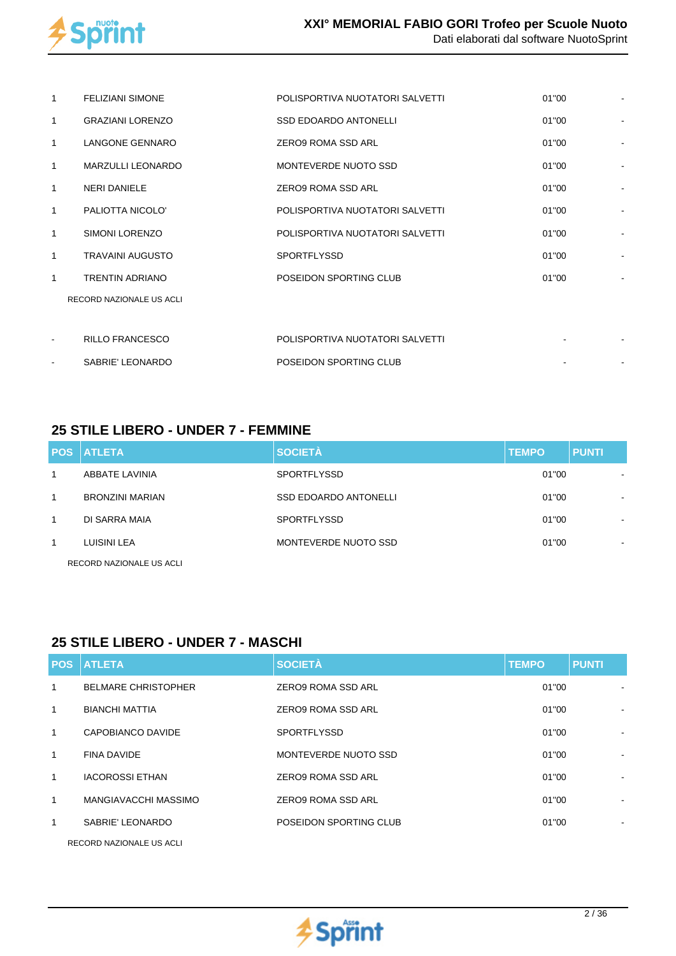

|   | <b>FELIZIANI SIMONE</b>  | POLISPORTIVA NUOTATORI SALVETTI | 01"00 | ÷, |
|---|--------------------------|---------------------------------|-------|----|
| 1 | <b>GRAZIANI LORENZO</b>  | <b>SSD EDOARDO ANTONELLI</b>    | 01"00 |    |
| 1 | LANGONE GENNARO          | ZERO9 ROMA SSD ARL              | 01"00 |    |
| 1 | <b>MARZULLI LEONARDO</b> | MONTEVERDE NUOTO SSD            | 01"00 |    |
| 1 | <b>NERI DANIELE</b>      | ZERO9 ROMA SSD ARL              | 01"00 |    |
| 1 | PALIOTTA NICOLO'         | POLISPORTIVA NUOTATORI SALVETTI | 01"00 |    |
| 1 | <b>SIMONI LORENZO</b>    | POLISPORTIVA NUOTATORI SALVETTI | 01"00 | ÷  |
| 1 | <b>TRAVAINI AUGUSTO</b>  | <b>SPORTFLYSSD</b>              | 01"00 |    |
| 1 | <b>TRENTIN ADRIANO</b>   | POSEIDON SPORTING CLUB          | 01"00 |    |
|   | RECORD NAZIONALE US ACLI |                                 |       |    |
|   |                          |                                 |       |    |
|   | <b>RILLO FRANCESCO</b>   | POLISPORTIVA NUOTATORI SALVETTI |       |    |
|   | SABRIE' LEONARDO         | POSEIDON SPORTING CLUB          |       | ł, |

## **25 STILE LIBERO - UNDER 7 - FEMMINE**

|   | <b>POS ATLETA</b>        | <b>SOCIETÀ</b>               | <b>TEMPO</b> | <b>PUNTI</b>             |
|---|--------------------------|------------------------------|--------------|--------------------------|
|   | ABBATE LAVINIA           | <b>SPORTFLYSSD</b>           | 01"00        | $\blacksquare$           |
| 1 | <b>BRONZINI MARIAN</b>   | <b>SSD EDOARDO ANTONELLI</b> | 01"00        | $\overline{\phantom{a}}$ |
| 1 | DI SARRA MAIA            | <b>SPORTFLYSSD</b>           | 01"00        | $\,$                     |
| 1 | LUISINI LEA              | MONTEVERDE NUOTO SSD         | 01"00        | $\blacksquare$           |
|   | RECORD NAZIONALE US ACLI |                              |              |                          |

## **25 STILE LIBERO - UNDER 7 - MASCHI**

|              | <b>POS ATLETA</b>          | <b>SOCIETÀ</b>         | <b>TEMPO</b> | <b>PUNTI</b> |
|--------------|----------------------------|------------------------|--------------|--------------|
| 1            | <b>BELMARE CHRISTOPHER</b> | ZERO9 ROMA SSD ARL     | 01"00        |              |
| $\mathbf{1}$ | <b>BIANCHI MATTIA</b>      | ZERO9 ROMA SSD ARL     | 01"00        |              |
| $\mathbf{1}$ | CAPOBIANCO DAVIDE          | <b>SPORTFLYSSD</b>     | 01"00        |              |
| $\mathbf{1}$ | <b>FINA DAVIDE</b>         | MONTEVERDE NUOTO SSD   | 01"00        |              |
| $\mathbf{1}$ | <b>IACOROSSI ETHAN</b>     | ZERO9 ROMA SSD ARL     | 01"00        |              |
| $\mathbf{1}$ | MANGIAVACCHI MASSIMO       | ZERO9 ROMA SSD ARL     | 01"00        | ٠            |
| 1            | SABRIE' LEONARDO           | POSEIDON SPORTING CLUB | 01"00        |              |
|              |                            |                        |              |              |



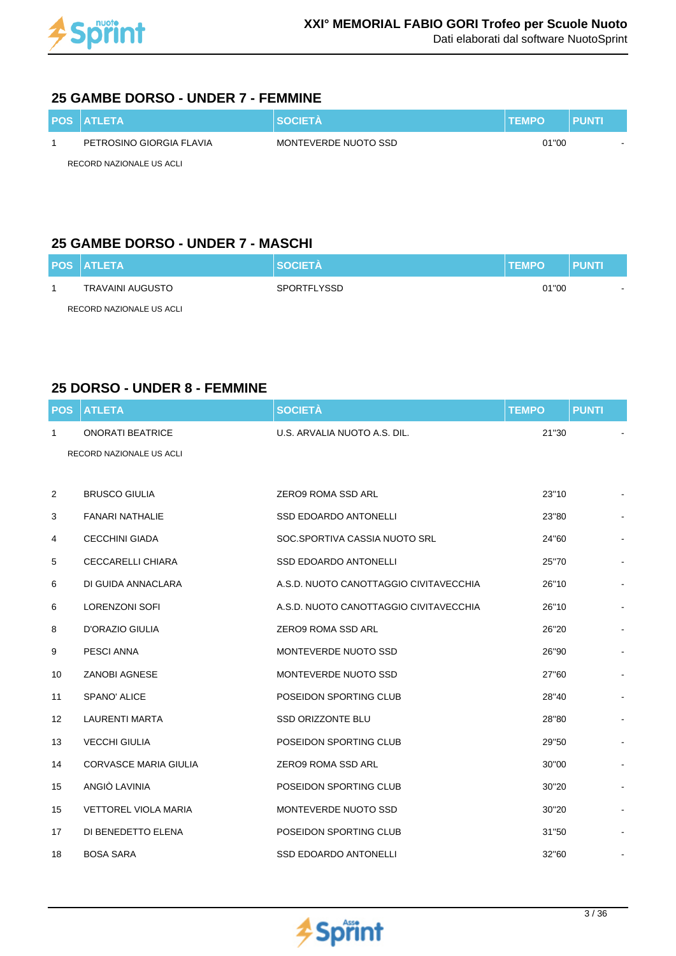

#### **25 GAMBE DORSO - UNDER 7 - FEMMINE**

| <b>POS ATLETA</b>        | <b>SOCIETA</b>       | <b>TEMPO</b> | PUNTI |
|--------------------------|----------------------|--------------|-------|
| PETROSINO GIORGIA FLAVIA | MONTEVERDE NUOTO SSD | 01"00        |       |
| RECORD NAZIONALE US ACLI |                      |              |       |

## **25 GAMBE DORSO - UNDER 7 - MASCHI**

| <b>POS ATLETA</b>        | <b>SOCIETA</b>     | <b>TEMPO</b> | <b>PUNTI</b> |
|--------------------------|--------------------|--------------|--------------|
| TRAVAINI AUGUSTO         | <b>SPORTFLYSSD</b> | 01"00        |              |
| RECORD NAZIONALE US ACLI |                    |              |              |

## **25 DORSO - UNDER 8 - FEMMINE**

| <b>POS</b> | <b>ATLETA</b>                | <b>SOCIETÀ</b>                         | <b>TEMPO</b> | <b>PUNTI</b> |  |
|------------|------------------------------|----------------------------------------|--------------|--------------|--|
| 1          | <b>ONORATI BEATRICE</b>      | U.S. ARVALIA NUOTO A.S. DIL.           | 21"30        |              |  |
|            | RECORD NAZIONALE US ACLI     |                                        |              |              |  |
|            |                              |                                        |              |              |  |
| 2          | <b>BRUSCO GIULIA</b>         | ZERO9 ROMA SSD ARL                     | 23"10        |              |  |
| 3          | FANARI NATHALIE              | <b>SSD EDOARDO ANTONELLI</b>           | 23"80        |              |  |
| 4          | <b>CECCHINI GIADA</b>        | SOC.SPORTIVA CASSIA NUOTO SRL          | 24"60        |              |  |
| 5          | CECCARELLI CHIARA            | <b>SSD EDOARDO ANTONELLI</b>           | 25"70        |              |  |
| 6          | DI GUIDA ANNACLARA           | A.S.D. NUOTO CANOTTAGGIO CIVITAVECCHIA | 26"10        |              |  |
| 6          | <b>LORENZONI SOFI</b>        | A.S.D. NUOTO CANOTTAGGIO CIVITAVECCHIA | 26"10        |              |  |
| 8          | <b>D'ORAZIO GIULIA</b>       | <b>ZERO9 ROMA SSD ARL</b>              | 26"20        |              |  |
| 9          | <b>PESCI ANNA</b>            | MONTEVERDE NUOTO SSD                   | 26"90        |              |  |
| 10         | <b>ZANOBI AGNESE</b>         | MONTEVERDE NUOTO SSD                   | 27"60        |              |  |
| 11         | SPANO' ALICE                 | POSEIDON SPORTING CLUB                 | 28"40        |              |  |
| 12         | <b>LAURENTI MARTA</b>        | SSD ORIZZONTE BLU                      | 28"80        |              |  |
| 13         | <b>VECCHI GIULIA</b>         | POSEIDON SPORTING CLUB                 | 29"50        |              |  |
| 14         | <b>CORVASCE MARIA GIULIA</b> | <b>ZERO9 ROMA SSD ARL</b>              | 30"00        |              |  |
| 15         | ANGIÒ LAVINIA                | POSEIDON SPORTING CLUB                 | 30"20        |              |  |
| 15         | <b>VETTOREL VIOLA MARIA</b>  | MONTEVERDE NUOTO SSD                   | 30"20        |              |  |
| 17         | DI BENEDETTO ELENA           | POSEIDON SPORTING CLUB                 | 31"50        |              |  |
| 18         | <b>BOSA SARA</b>             | <b>SSD EDOARDO ANTONELLI</b>           | 32"60        |              |  |

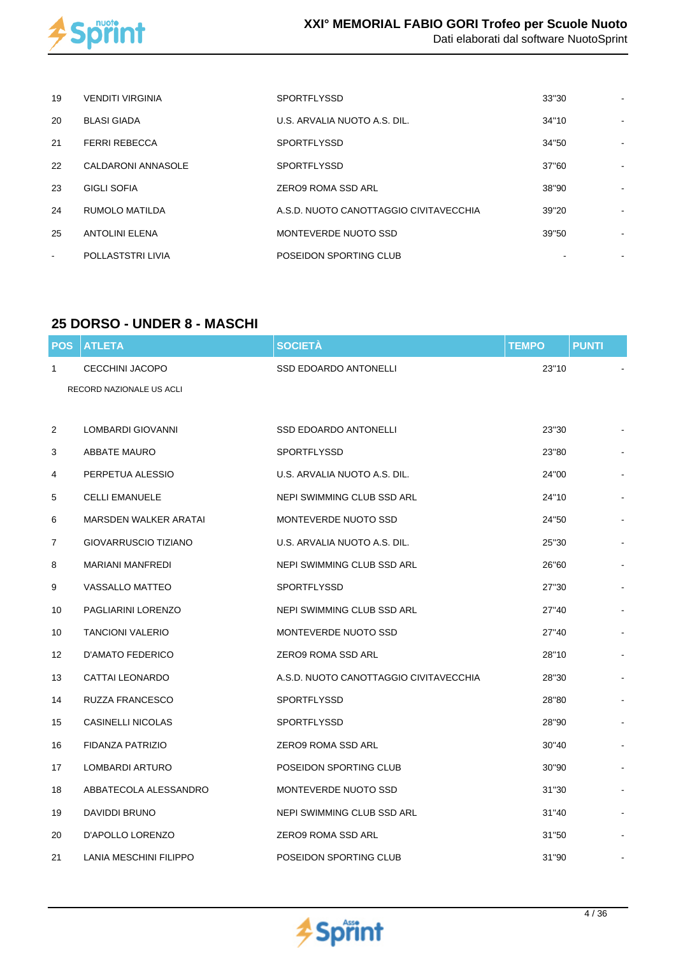

| 19             | <b>VENDITI VIRGINIA</b> | <b>SPORTFLYSSD</b>                     | 33"30 |  |
|----------------|-------------------------|----------------------------------------|-------|--|
| 20             | <b>BLASI GIADA</b>      | U.S. ARVALIA NUOTO A.S. DIL.           | 34"10 |  |
| 21             | <b>FERRI REBECCA</b>    | <b>SPORTFLYSSD</b>                     | 34"50 |  |
| 22             | CALDARONI ANNASOLE      | <b>SPORTFLYSSD</b>                     | 37"60 |  |
| 23             | <b>GIGLI SOFIA</b>      | ZERO9 ROMA SSD ARL                     | 38"90 |  |
| 24             | RUMOLO MATILDA          | A.S.D. NUOTO CANOTTAGGIO CIVITAVECCHIA | 39"20 |  |
| 25             | <b>ANTOLINI ELENA</b>   | MONTEVERDE NUOTO SSD                   | 39"50 |  |
| $\blacksquare$ | POLLASTSTRI LIVIA       | POSEIDON SPORTING CLUB                 |       |  |

## **25 DORSO - UNDER 8 - MASCHI**

| <b>POS</b>        | <b>ATLETA</b>                | <b>SOCIETÀ</b>                         | <b>TEMPO</b> | <b>PUNTI</b> |  |
|-------------------|------------------------------|----------------------------------------|--------------|--------------|--|
| 1                 | CECCHINI JACOPO              | <b>SSD EDOARDO ANTONELLI</b>           | 23"10        |              |  |
|                   | RECORD NAZIONALE US ACLI     |                                        |              |              |  |
|                   |                              |                                        |              |              |  |
| 2                 | LOMBARDI GIOVANNI            | <b>SSD EDOARDO ANTONELLI</b>           | 23"30        |              |  |
| 3                 | ABBATE MAURO                 | <b>SPORTFLYSSD</b>                     | 23"80        |              |  |
| 4                 | PERPETUA ALESSIO             | U.S. ARVALIA NUOTO A.S. DIL.           | 24"00        |              |  |
| 5                 | <b>CELLI EMANUELE</b>        | NEPI SWIMMING CLUB SSD ARL             | 24"10        |              |  |
| 6                 | <b>MARSDEN WALKER ARATAI</b> | MONTEVERDE NUOTO SSD                   | 24"50        |              |  |
| 7                 | GIOVARRUSCIO TIZIANO         | U.S. ARVALIA NUOTO A.S. DIL.           | 25"30        |              |  |
| 8                 | <b>MARIANI MANFREDI</b>      | NEPI SWIMMING CLUB SSD ARL             | 26"60        |              |  |
| 9                 | <b>VASSALLO MATTEO</b>       | <b>SPORTFLYSSD</b>                     | 27"30        |              |  |
| 10                | PAGLIARINI LORENZO           | NEPI SWIMMING CLUB SSD ARL             | 27"40        |              |  |
| 10                | <b>TANCIONI VALERIO</b>      | MONTEVERDE NUOTO SSD                   | 27"40        |              |  |
| $12 \overline{ }$ | D'AMATO FEDERICO             | <b>ZERO9 ROMA SSD ARL</b>              | 28"10        |              |  |
| 13                | <b>CATTAI LEONARDO</b>       | A.S.D. NUOTO CANOTTAGGIO CIVITAVECCHIA | 28"30        |              |  |
| 14                | RUZZA FRANCESCO              | <b>SPORTFLYSSD</b>                     | 28"80        |              |  |
| 15                | <b>CASINELLI NICOLAS</b>     | <b>SPORTFLYSSD</b>                     | 28"90        |              |  |
| 16                | FIDANZA PATRIZIO             | <b>ZERO9 ROMA SSD ARL</b>              | 30"40        |              |  |
| 17                | LOMBARDI ARTURO              | POSEIDON SPORTING CLUB                 | 30"90        |              |  |
| 18                | ABBATECOLA ALESSANDRO        | MONTEVERDE NUOTO SSD                   | 31"30        |              |  |
| 19                | DAVIDDI BRUNO                | NEPI SWIMMING CLUB SSD ARL             | 31"40        |              |  |
| 20                | D'APOLLO LORENZO             | <b>ZERO9 ROMA SSD ARL</b>              | 31"50        |              |  |
| 21                | LANIA MESCHINI FILIPPO       | POSEIDON SPORTING CLUB                 | 31"90        |              |  |

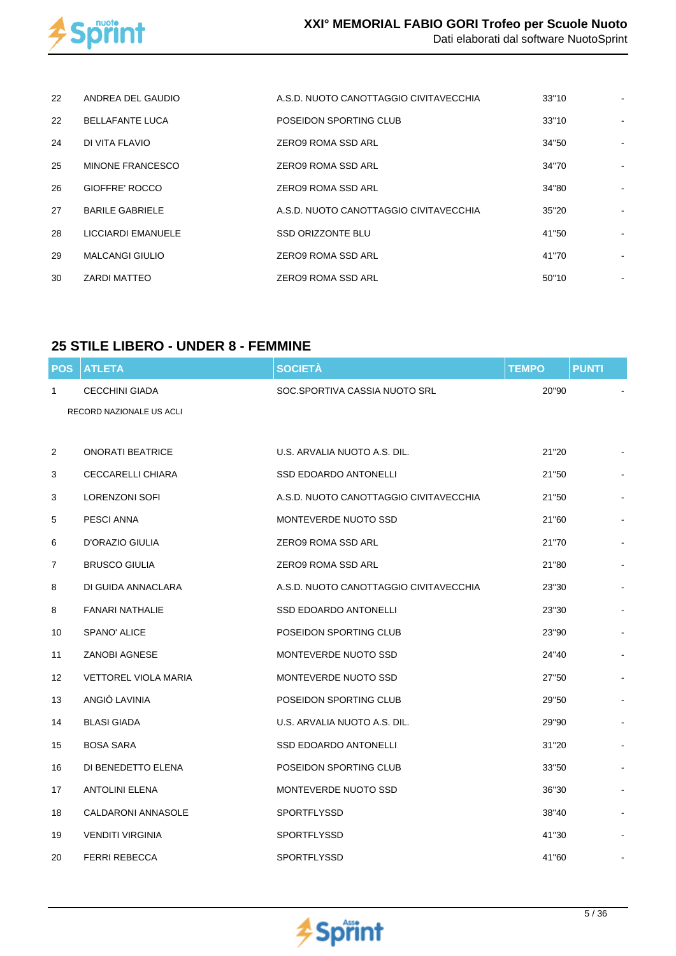

| 22 | ANDREA DEL GAUDIO         | A.S.D. NUOTO CANOTTAGGIO CIVITAVECCHIA | 33"10 |  |
|----|---------------------------|----------------------------------------|-------|--|
| 22 | <b>BELLAFANTE LUCA</b>    | POSEIDON SPORTING CLUB                 | 33"10 |  |
| 24 | DI VITA FLAVIO            | ZERO9 ROMA SSD ARL                     | 34"50 |  |
| 25 | MINONE FRANCESCO          | ZERO9 ROMA SSD ARL                     | 34"70 |  |
| 26 | GIOFFRE' ROCCO            | <b>ZERO9 ROMA SSD ARL</b>              | 34"80 |  |
| 27 | <b>BARILE GABRIELE</b>    | A.S.D. NUOTO CANOTTAGGIO CIVITAVECCHIA | 35"20 |  |
| 28 | <b>LICCIARDI EMANUELE</b> | SSD ORIZZONTE BLU                      | 41"50 |  |
| 29 | <b>MALCANGI GIULIO</b>    | <b>ZERO9 ROMA SSD ARL</b>              | 41"70 |  |
| 30 | ZARDI MATTEO              | <b>ZERO9 ROMA SSD ARL</b>              | 50"10 |  |

## **25 STILE LIBERO - UNDER 8 - FEMMINE**

| <b>POS</b>        | <b>ATLETA</b>               | <b>SOCIETÀ</b>                         | <b>TEMPO</b> | <b>PUNTI</b> |  |
|-------------------|-----------------------------|----------------------------------------|--------------|--------------|--|
| 1                 | <b>CECCHINI GIADA</b>       | SOC.SPORTIVA CASSIA NUOTO SRL          | 20"90        |              |  |
|                   | RECORD NAZIONALE US ACLI    |                                        |              |              |  |
|                   |                             |                                        |              |              |  |
| 2                 | <b>ONORATI BEATRICE</b>     | U.S. ARVALIA NUOTO A.S. DIL.           | 21"20        |              |  |
| 3                 | CECCARELLI CHIARA           | <b>SSD EDOARDO ANTONELLI</b>           | 21"50        |              |  |
| 3                 | <b>LORENZONI SOFI</b>       | A.S.D. NUOTO CANOTTAGGIO CIVITAVECCHIA | 21"50        |              |  |
| 5                 | PESCI ANNA                  | MONTEVERDE NUOTO SSD                   | 21"60        |              |  |
| 6                 | D'ORAZIO GIULIA             | ZERO9 ROMA SSD ARL                     | 21"70        |              |  |
| 7                 | <b>BRUSCO GIULIA</b>        | ZERO9 ROMA SSD ARL                     | 21"80        |              |  |
| 8                 | DI GUIDA ANNACLARA          | A.S.D. NUOTO CANOTTAGGIO CIVITAVECCHIA | 23"30        |              |  |
| 8                 | FANARI NATHALIE             | <b>SSD EDOARDO ANTONELLI</b>           | 23"30        |              |  |
| 10                | SPANO' ALICE                | POSEIDON SPORTING CLUB                 | 23"90        |              |  |
| 11                | <b>ZANOBI AGNESE</b>        | MONTEVERDE NUOTO SSD                   | 24"40        |              |  |
| $12 \overline{ }$ | <b>VETTOREL VIOLA MARIA</b> | MONTEVERDE NUOTO SSD                   | 27"50        |              |  |
| 13                | ANGIÒ LAVINIA               | POSEIDON SPORTING CLUB                 | 29"50        |              |  |
| 14                | <b>BLASI GIADA</b>          | U.S. ARVALIA NUOTO A.S. DIL.           | 29"90        |              |  |
| 15                | <b>BOSA SARA</b>            | <b>SSD EDOARDO ANTONELLI</b>           | 31"20        |              |  |
| 16                | DI BENEDETTO ELENA          | POSEIDON SPORTING CLUB                 | 33"50        |              |  |
| 17                | <b>ANTOLINI ELENA</b>       | MONTEVERDE NUOTO SSD                   | 36"30        |              |  |
| 18                | <b>CALDARONI ANNASOLE</b>   | SPORTFLYSSD                            | 38"40        |              |  |
| 19                | <b>VENDITI VIRGINIA</b>     | <b>SPORTFLYSSD</b>                     | 41"30        |              |  |
| 20                | <b>FERRI REBECCA</b>        | <b>SPORTFLYSSD</b>                     | 41"60        |              |  |

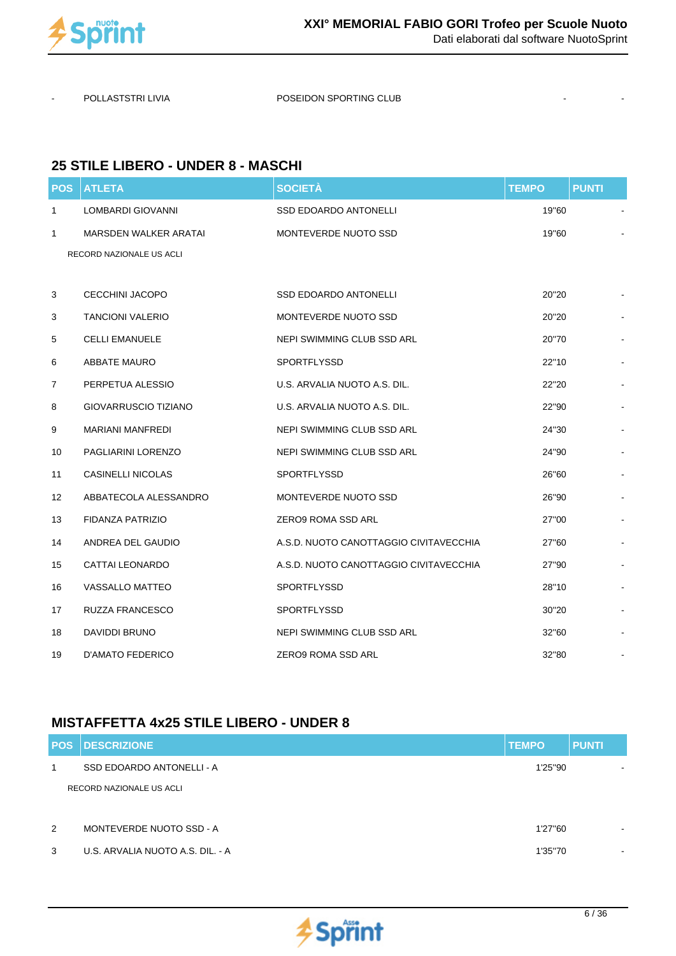

POLLASTSTRI LIVIA <sup>POSEIDON</sup> SPORTING CLUB

#### **25 STILE LIBERO - UNDER 8 - MASCHI**

| <b>POS</b>     | <b>ATLETA</b>               | <b>SOCIETÀ</b>                         | <b>TEMPO</b> | <b>PUNTI</b> |
|----------------|-----------------------------|----------------------------------------|--------------|--------------|
| $\mathbf{1}$   | LOMBARDI GIOVANNI           | <b>SSD EDOARDO ANTONELLI</b>           | 19"60        |              |
| 1              | MARSDEN WALKER ARATAI       | MONTEVERDE NUOTO SSD                   | 19"60        |              |
|                | RECORD NAZIONALE US ACLI    |                                        |              |              |
|                |                             |                                        |              |              |
| 3              | <b>CECCHINI JACOPO</b>      | <b>SSD EDOARDO ANTONELLI</b>           | 20"20        |              |
| 3              | <b>TANCIONI VALERIO</b>     | MONTEVERDE NUOTO SSD                   | 20"20        |              |
| 5              | <b>CELLI EMANUELE</b>       | NEPI SWIMMING CLUB SSD ARL             | 20"70        |              |
| 6              | <b>ABBATE MAURO</b>         | SPORTFLYSSD                            | 22"10        |              |
| $\overline{7}$ | PERPETUA ALESSIO            | U.S. ARVALIA NUOTO A.S. DIL.           | 22"20        |              |
| 8              | <b>GIOVARRUSCIO TIZIANO</b> | U.S. ARVALIA NUOTO A.S. DIL.           | 22"90        |              |
| 9              | <b>MARIANI MANFREDI</b>     | NEPI SWIMMING CLUB SSD ARL             | 24"30        |              |
| 10             | PAGLIARINI LORENZO          | NEPI SWIMMING CLUB SSD ARL             | 24"90        |              |
| 11             | <b>CASINELLI NICOLAS</b>    | SPORTFLYSSD                            | 26"60        |              |
| 12             | ABBATECOLA ALESSANDRO       | MONTEVERDE NUOTO SSD                   | 26"90        |              |
| 13             | FIDANZA PATRIZIO            | ZERO9 ROMA SSD ARL                     | 27"00        |              |
| 14             | ANDREA DEL GAUDIO           | A.S.D. NUOTO CANOTTAGGIO CIVITAVECCHIA | 27"60        |              |
| 15             | <b>CATTAI LEONARDO</b>      | A.S.D. NUOTO CANOTTAGGIO CIVITAVECCHIA | 27"90        |              |
| 16             | <b>VASSALLO MATTEO</b>      | SPORTFLYSSD                            | 28"10        |              |
| 17             | RUZZA FRANCESCO             | SPORTFLYSSD                            | 30"20        |              |
| 18             | DAVIDDI BRUNO               | NEPI SWIMMING CLUB SSD ARL             | 32"60        |              |
| 19             | D'AMATO FEDERICO            | ZERO9 ROMA SSD ARL                     | 32"80        |              |

## **MISTAFFETTA 4x25 STILE LIBERO - UNDER 8**

|   | <b>POS DESCRIZIONE</b>           | <b>TEMPO</b> | <b>PUNTI</b>             |
|---|----------------------------------|--------------|--------------------------|
| 1 | SSD EDOARDO ANTONELLI - A        | 1'25"90      |                          |
|   | RECORD NAZIONALE US ACLI         |              |                          |
|   |                                  |              |                          |
| 2 | MONTEVERDE NUOTO SSD - A         | 1'27"60      | $\overline{\phantom{a}}$ |
| 3 | U.S. ARVALIA NUOTO A.S. DIL. - A | 1'35"70      | $\overline{\phantom{a}}$ |

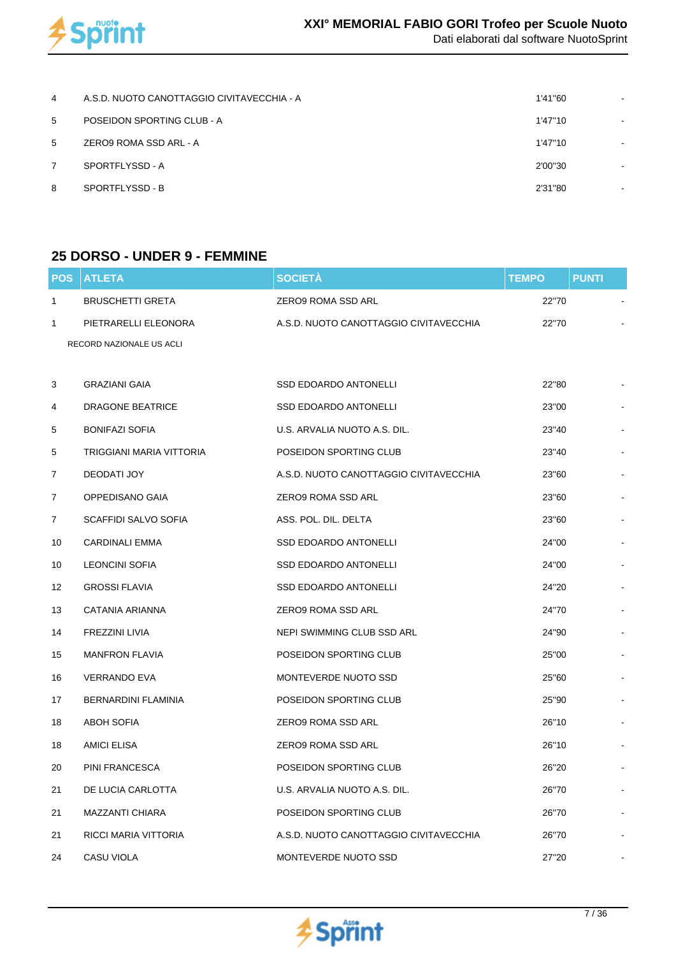

| 4 | A.S.D. NUOTO CANOTTAGGIO CIVITAVECCHIA - A | 1'41"60 |                              |
|---|--------------------------------------------|---------|------------------------------|
| 5 | POSEIDON SPORTING CLUB - A                 | 1'47"10 |                              |
| 5 | ZERO9 ROMA SSD ARL - A                     | 1'47"10 |                              |
| 7 | SPORTFLYSSD - A                            | 2'00"30 | $\qquad \qquad \blacksquare$ |
| 8 | SPORTFLYSSD - B                            | 2'31"80 | ٠                            |
|   |                                            |         |                              |

#### **25 DORSO - UNDER 9 - FEMMINE**

| <b>POS</b>     | <b>ATLETA</b>            | <b>SOCIETÀ</b>                         | <b>TEMPO</b> | <b>PUNTI</b> |  |
|----------------|--------------------------|----------------------------------------|--------------|--------------|--|
| $\mathbf{1}$   | <b>BRUSCHETTI GRETA</b>  | ZERO9 ROMA SSD ARL                     | 22"70        |              |  |
| $\mathbf{1}$   | PIETRARELLI ELEONORA     | A.S.D. NUOTO CANOTTAGGIO CIVITAVECCHIA | 22"70        |              |  |
|                | RECORD NAZIONALE US ACLI |                                        |              |              |  |
|                |                          |                                        |              |              |  |
| 3              | <b>GRAZIANI GAIA</b>     | <b>SSD EDOARDO ANTONELLI</b>           | 22"80        |              |  |
| 4              | <b>DRAGONE BEATRICE</b>  | <b>SSD EDOARDO ANTONELLI</b>           | 23"00        |              |  |
| 5              | <b>BONIFAZI SOFIA</b>    | U.S. ARVALIA NUOTO A.S. DIL.           | 23"40        |              |  |
| 5              | TRIGGIANI MARIA VITTORIA | POSEIDON SPORTING CLUB                 | 23"40        |              |  |
| $\overline{7}$ | DEODATI JOY              | A.S.D. NUOTO CANOTTAGGIO CIVITAVECCHIA | 23"60        |              |  |
| $\overline{7}$ | OPPEDISANO GAIA          | ZERO9 ROMA SSD ARL                     | 23"60        |              |  |
| $\overline{7}$ | SCAFFIDI SALVO SOFIA     | ASS. POL. DIL. DELTA                   | 23"60        |              |  |
| 10             | <b>CARDINALI EMMA</b>    | <b>SSD EDOARDO ANTONELLI</b>           | 24"00        |              |  |
| 10             | LEONCINI SOFIA           | SSD EDOARDO ANTONELLI                  | 24"00        |              |  |
| 12             | <b>GROSSI FLAVIA</b>     | SSD EDOARDO ANTONELLI                  | 24"20        |              |  |
| 13             | CATANIA ARIANNA          | ZERO9 ROMA SSD ARL                     | 24"70        |              |  |
| 14             | FREZZINI LIVIA           | NEPI SWIMMING CLUB SSD ARL             | 24"90        |              |  |
| 15             | <b>MANFRON FLAVIA</b>    | POSEIDON SPORTING CLUB                 | 25"00        |              |  |
| 16             | <b>VERRANDO EVA</b>      | MONTEVERDE NUOTO SSD                   | 25"60        |              |  |
| 17             | BERNARDINI FLAMINIA      | POSEIDON SPORTING CLUB                 | 25"90        |              |  |
| 18             | <b>ABOH SOFIA</b>        | ZERO9 ROMA SSD ARL                     | 26"10        |              |  |
| 18             | <b>AMICI ELISA</b>       | ZERO9 ROMA SSD ARL                     | 26"10        |              |  |
| 20             | PINI FRANCESCA           | POSEIDON SPORTING CLUB                 | 26"20        |              |  |
| 21             | DE LUCIA CARLOTTA        | U.S. ARVALIA NUOTO A.S. DIL.           | 26"70        |              |  |
| 21             | MAZZANTI CHIARA          | POSEIDON SPORTING CLUB                 | 26"70        |              |  |
| 21             | RICCI MARIA VITTORIA     | A.S.D. NUOTO CANOTTAGGIO CIVITAVECCHIA | 26"70        |              |  |
| 24             | CASU VIOLA               | MONTEVERDE NUOTO SSD                   | 27"20        |              |  |

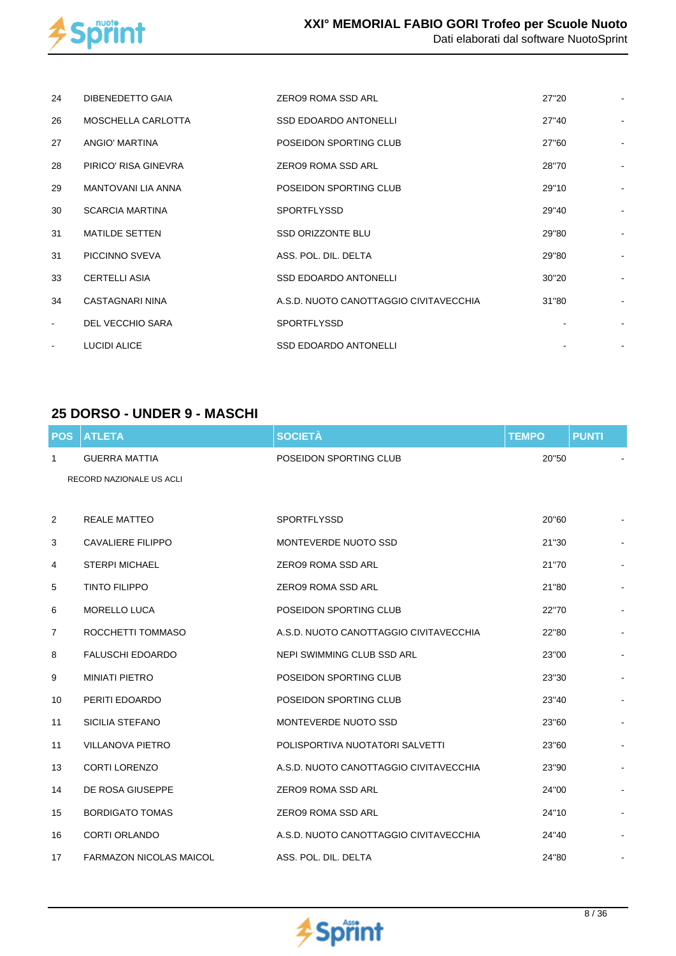

| 24                       | DIBENEDETTO GAIA        | ZERO9 ROMA SSD ARL                     | 27"20 |  |
|--------------------------|-------------------------|----------------------------------------|-------|--|
| 26                       | MOSCHELLA CARLOTTA      | <b>SSD EDOARDO ANTONELLI</b>           | 27"40 |  |
| 27                       | ANGIO' MARTINA          | POSEIDON SPORTING CLUB                 | 27"60 |  |
| 28                       | PIRICO' RISA GINEVRA    | ZERO9 ROMA SSD ARL                     | 28"70 |  |
| 29                       | MANTOVANI LIA ANNA      | POSEIDON SPORTING CLUB                 | 29"10 |  |
| 30                       | <b>SCARCIA MARTINA</b>  | <b>SPORTFLYSSD</b>                     | 29"40 |  |
| 31                       | MATILDE SETTEN          | <b>SSD ORIZZONTE BLU</b>               | 29"80 |  |
| 31                       | PICCINNO SVEVA          | ASS. POL. DIL. DELTA                   | 29"80 |  |
| 33                       | <b>CERTELLI ASIA</b>    | <b>SSD EDOARDO ANTONELLI</b>           | 30"20 |  |
| 34                       | CASTAGNARI NINA         | A.S.D. NUOTO CANOTTAGGIO CIVITAVECCHIA | 31"80 |  |
| $\overline{\phantom{a}}$ | <b>DEL VECCHIO SARA</b> | <b>SPORTFLYSSD</b>                     |       |  |
|                          | <b>LUCIDI ALICE</b>     | <b>SSD EDOARDO ANTONELLI</b>           |       |  |

## **25 DORSO - UNDER 9 - MASCHI**

| <b>POS</b>     | <b>ATLETA</b>                  | <b>SOCIETÀ</b>                         | <b>TEMPO</b> | <b>PUNTI</b> |  |
|----------------|--------------------------------|----------------------------------------|--------------|--------------|--|
| 1              | <b>GUERRA MATTIA</b>           | POSEIDON SPORTING CLUB                 | 20"50        |              |  |
|                | RECORD NAZIONALE US ACLI       |                                        |              |              |  |
|                |                                |                                        |              |              |  |
| 2              | <b>REALE MATTEO</b>            | <b>SPORTFLYSSD</b>                     | 20"60        |              |  |
| 3              | <b>CAVALIERE FILIPPO</b>       | MONTEVERDE NUOTO SSD                   | 21"30        |              |  |
| 4              | <b>STERPI MICHAEL</b>          | <b>ZERO9 ROMA SSD ARL</b>              | 21"70        |              |  |
| 5              | <b>TINTO FILIPPO</b>           | <b>ZERO9 ROMA SSD ARL</b>              | 21"80        |              |  |
| 6              | MORELLO LUCA                   | POSEIDON SPORTING CLUB                 | 22"70        |              |  |
| $\overline{7}$ | ROCCHETTI TOMMASO              | A.S.D. NUOTO CANOTTAGGIO CIVITAVECCHIA | 22"80        |              |  |
| 8              | <b>FALUSCHI EDOARDO</b>        | NEPI SWIMMING CLUB SSD ARL             | 23"00        |              |  |
| 9              | <b>MINIATI PIETRO</b>          | POSEIDON SPORTING CLUB                 | 23"30        |              |  |
| 10             | PERITI EDOARDO                 | POSEIDON SPORTING CLUB                 | 23"40        |              |  |
| 11             | <b>SICILIA STEFANO</b>         | MONTEVERDE NUOTO SSD                   | 23"60        |              |  |
| 11             | <b>VILLANOVA PIETRO</b>        | POLISPORTIVA NUOTATORI SALVETTI        | 23"60        |              |  |
| 13             | <b>CORTI LORENZO</b>           | A.S.D. NUOTO CANOTTAGGIO CIVITAVECCHIA | 23"90        |              |  |
| 14             | DE ROSA GIUSEPPE               | <b>ZERO9 ROMA SSD ARL</b>              | 24"00        |              |  |
| 15             | <b>BORDIGATO TOMAS</b>         | ZERO9 ROMA SSD ARL                     | 24"10        |              |  |
| 16             | <b>CORTI ORLANDO</b>           | A.S.D. NUOTO CANOTTAGGIO CIVITAVECCHIA | 24"40        |              |  |
| 17             | <b>FARMAZON NICOLAS MAICOL</b> | ASS. POL. DIL. DELTA                   | 24"80        |              |  |

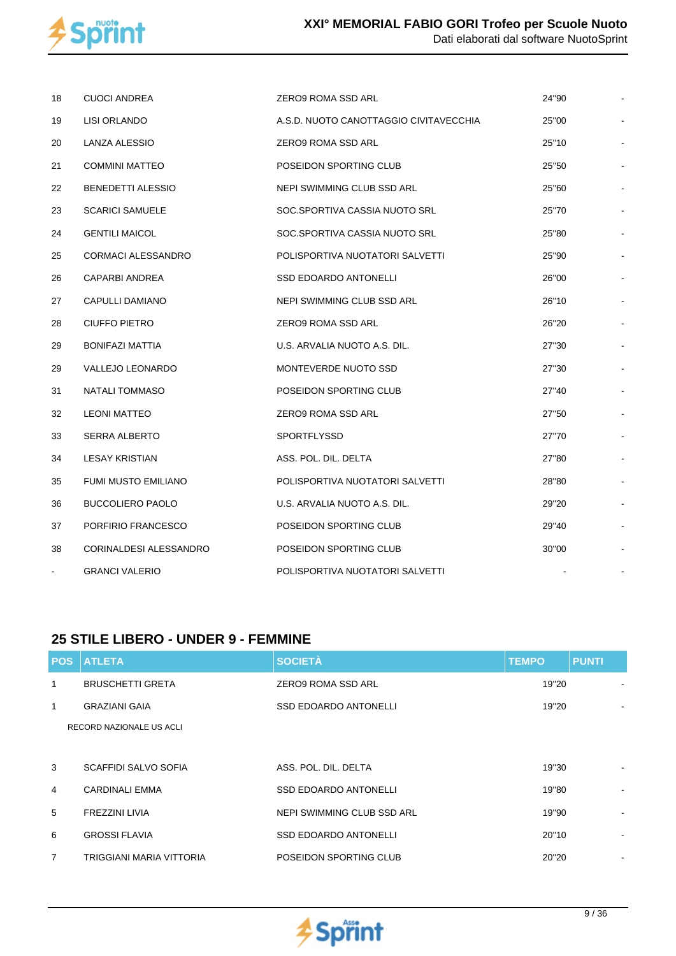

| 18             | <b>CUOCI ANDREA</b>        | ZERO9 ROMA SSD ARL                     | 24"90 |  |
|----------------|----------------------------|----------------------------------------|-------|--|
| 19             | LISI ORLANDO               | A.S.D. NUOTO CANOTTAGGIO CIVITAVECCHIA | 25"00 |  |
| 20             | LANZA ALESSIO              | ZERO9 ROMA SSD ARL                     | 25"10 |  |
| 21             | <b>COMMINI MATTEO</b>      | POSEIDON SPORTING CLUB                 | 25"50 |  |
| 22             | <b>BENEDETTI ALESSIO</b>   | NEPI SWIMMING CLUB SSD ARL             | 25"60 |  |
| 23             | <b>SCARICI SAMUELE</b>     | SOC.SPORTIVA CASSIA NUOTO SRL          | 25"70 |  |
| 24             | <b>GENTILI MAICOL</b>      | SOC.SPORTIVA CASSIA NUOTO SRL          | 25"80 |  |
| 25             | <b>CORMACI ALESSANDRO</b>  | POLISPORTIVA NUOTATORI SALVETTI        | 25"90 |  |
| 26             | CAPARBI ANDREA             | <b>SSD EDOARDO ANTONELLI</b>           | 26"00 |  |
| 27             | CAPULLI DAMIANO            | NEPI SWIMMING CLUB SSD ARL             | 26"10 |  |
| 28             | CIUFFO PIETRO              | ZERO9 ROMA SSD ARL                     | 26"20 |  |
| 29             | <b>BONIFAZI MATTIA</b>     | U.S. ARVALIA NUOTO A.S. DIL.           | 27"30 |  |
| 29             | VALLEJO LEONARDO           | MONTEVERDE NUOTO SSD                   | 27"30 |  |
| 31             | <b>NATALI TOMMASO</b>      | POSEIDON SPORTING CLUB                 | 27"40 |  |
| 32             | <b>LEONI MATTEO</b>        | ZERO9 ROMA SSD ARL                     | 27"50 |  |
| 33             | <b>SERRA ALBERTO</b>       | <b>SPORTFLYSSD</b>                     | 27"70 |  |
| 34             | <b>LESAY KRISTIAN</b>      | ASS. POL. DIL. DELTA                   | 27"80 |  |
| 35             | <b>FUMI MUSTO EMILIANO</b> | POLISPORTIVA NUOTATORI SALVETTI        | 28"80 |  |
| 36             | <b>BUCCOLIERO PAOLO</b>    | U.S. ARVALIA NUOTO A.S. DIL.           | 29"20 |  |
| 37             | PORFIRIO FRANCESCO         | POSEIDON SPORTING CLUB                 | 29"40 |  |
| 38             | CORINALDESI ALESSANDRO     | POSEIDON SPORTING CLUB                 | 30"00 |  |
| $\blacksquare$ | <b>GRANCI VALERIO</b>      | POLISPORTIVA NUOTATORI SALVETTI        |       |  |

#### **25 STILE LIBERO - UNDER 9 - FEMMINE**

|                | <b>POS ATLETA</b>        | <b>SOCIETÀ</b>               | <b>TEMPO</b> | <b>PUNTI</b>   |
|----------------|--------------------------|------------------------------|--------------|----------------|
| 1              | <b>BRUSCHETTI GRETA</b>  | ZERO9 ROMA SSD ARL           | 19"20        |                |
| 1              | <b>GRAZIANI GAIA</b>     | <b>SSD EDOARDO ANTONELLI</b> | 19"20        |                |
|                | RECORD NAZIONALE US ACLI |                              |              |                |
|                |                          |                              |              |                |
| 3              | SCAFFIDI SALVO SOFIA     | ASS. POL. DIL. DELTA         | 19"30        |                |
| $\overline{4}$ | <b>CARDINALI EMMA</b>    | <b>SSD EDOARDO ANTONELLI</b> | 19"80        |                |
| 5              | <b>FREZZINI LIVIA</b>    | NEPI SWIMMING CLUB SSD ARL   | 19"90        | ۰              |
| 6              | <b>GROSSI FLAVIA</b>     | <b>SSD EDOARDO ANTONELLI</b> | 20"10        | $\blacksquare$ |
| 7              | TRIGGIANI MARIA VITTORIA | POSEIDON SPORTING CLUB       | 20"20        | $\blacksquare$ |

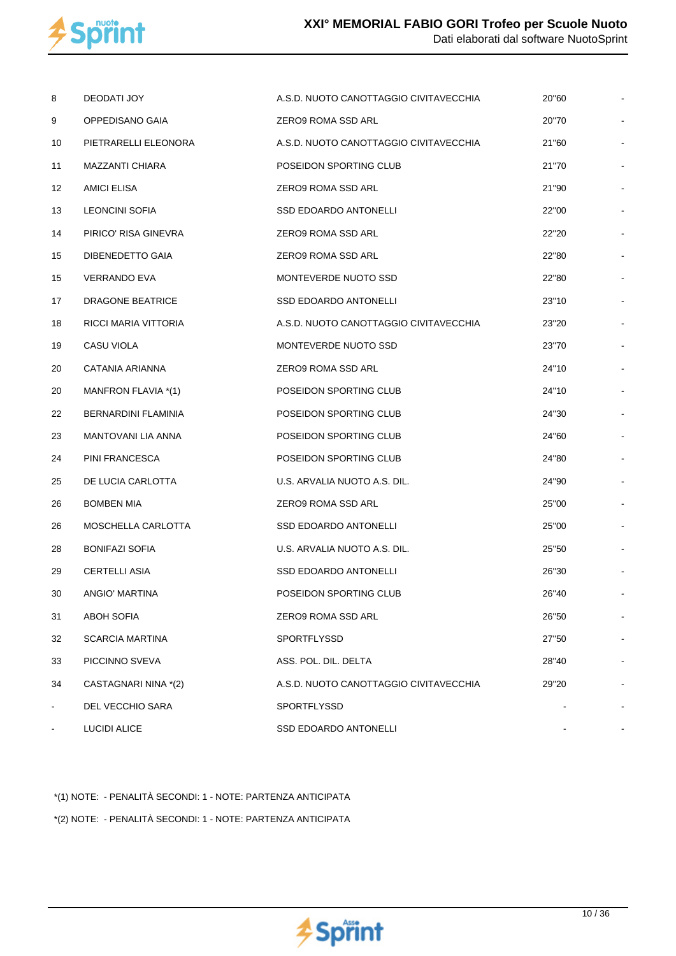

| 8              | DEODATI JOY            | A.S.D. NUOTO CANOTTAGGIO CIVITAVECCHIA | 20"60 |  |
|----------------|------------------------|----------------------------------------|-------|--|
| 9              | OPPEDISANO GAIA        | ZERO9 ROMA SSD ARL                     | 20"70 |  |
| 10             | PIETRARELLI ELEONORA   | A.S.D. NUOTO CANOTTAGGIO CIVITAVECCHIA | 21"60 |  |
| 11             | MAZZANTI CHIARA        | POSEIDON SPORTING CLUB                 | 21"70 |  |
| 12             | <b>AMICI ELISA</b>     | ZERO9 ROMA SSD ARL                     | 21"90 |  |
| 13             | <b>LEONCINI SOFIA</b>  | SSD EDOARDO ANTONELLI                  | 22"00 |  |
| 14             | PIRICO' RISA GINEVRA   | ZERO9 ROMA SSD ARL                     | 22"20 |  |
| 15             | DIBENEDETTO GAIA       | <b>ZERO9 ROMA SSD ARL</b>              | 22"80 |  |
| 15             | VERRANDO EVA           | MONTEVERDE NUOTO SSD                   | 22"80 |  |
| 17             | DRAGONE BEATRICE       | SSD EDOARDO ANTONELLI                  | 23"10 |  |
| 18             | RICCI MARIA VITTORIA   | A.S.D. NUOTO CANOTTAGGIO CIVITAVECCHIA | 23"20 |  |
| 19             | CASU VIOLA             | MONTEVERDE NUOTO SSD                   | 23"70 |  |
| 20             | CATANIA ARIANNA        | ZERO9 ROMA SSD ARL                     | 24"10 |  |
| 20             | MANFRON FLAVIA *(1)    | POSEIDON SPORTING CLUB                 | 24"10 |  |
| 22             | BERNARDINI FLAMINIA    | POSEIDON SPORTING CLUB                 | 24"30 |  |
| 23             | MANTOVANI LIA ANNA     | POSEIDON SPORTING CLUB                 | 24"60 |  |
| 24             | PINI FRANCESCA         | POSEIDON SPORTING CLUB                 | 24"80 |  |
| 25             | DE LUCIA CARLOTTA      | U.S. ARVALIA NUOTO A.S. DIL.           | 24"90 |  |
| 26             | <b>BOMBEN MIA</b>      | ZERO9 ROMA SSD ARL                     | 25"00 |  |
| 26             | MOSCHELLA CARLOTTA     | <b>SSD EDOARDO ANTONELLI</b>           | 25"00 |  |
| 28             | <b>BONIFAZI SOFIA</b>  | U.S. ARVALIA NUOTO A.S. DIL.           | 25"50 |  |
| 29             | <b>CERTELLI ASIA</b>   | SSD EDOARDO ANTONELLI                  | 26"30 |  |
| 30             | ANGIO' MARTINA         | POSEIDON SPORTING CLUB                 | 26"40 |  |
| 31             | ABOH SOFIA             | ZERO9 ROMA SSD ARL                     | 26"50 |  |
| 32             | <b>SCARCIA MARTINA</b> | <b>SPORTFLYSSD</b>                     | 27"50 |  |
| 33             | PICCINNO SVEVA         | ASS. POL. DIL. DELTA                   | 28"40 |  |
| 34             | CASTAGNARI NINA *(2)   | A.S.D. NUOTO CANOTTAGGIO CIVITAVECCHIA | 29"20 |  |
| $\blacksquare$ | DEL VECCHIO SARA       | <b>SPORTFLYSSD</b>                     |       |  |
|                | <b>LUCIDI ALICE</b>    | SSD EDOARDO ANTONELLI                  |       |  |

\*(1) NOTE: - PENALITÀ SECONDI: 1 - NOTE: PARTENZA ANTICIPATA

\*(2) NOTE: - PENALITÀ SECONDI: 1 - NOTE: PARTENZA ANTICIPATA

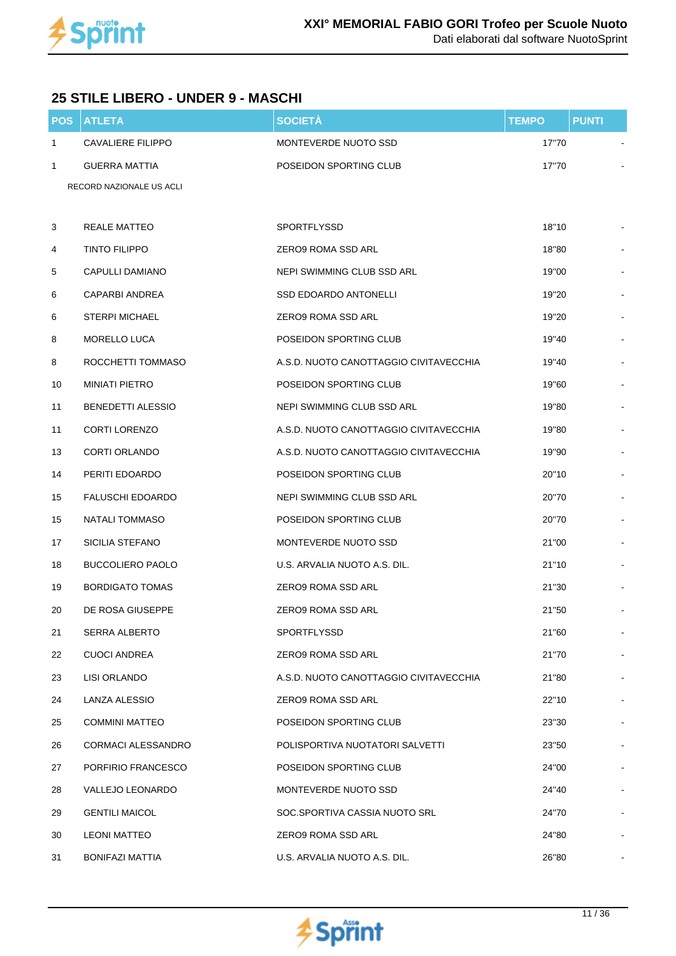

## **25 STILE LIBERO - UNDER 9 - MASCHI**

| <b>POS</b>   | <b>ATLETA</b>             | <b>SOCIETÀ</b>                         | <b>TEMPO</b> | <b>PUNTI</b> |  |
|--------------|---------------------------|----------------------------------------|--------------|--------------|--|
| $\mathbf{1}$ | <b>CAVALIERE FILIPPO</b>  | MONTEVERDE NUOTO SSD                   | 17"70        |              |  |
| 1            | <b>GUERRA MATTIA</b>      | POSEIDON SPORTING CLUB                 | 17"70        |              |  |
|              | RECORD NAZIONALE US ACLI  |                                        |              |              |  |
|              |                           |                                        |              |              |  |
| 3            | <b>REALE MATTEO</b>       | SPORTFLYSSD                            | 18"10        |              |  |
| 4            | <b>TINTO FILIPPO</b>      | ZERO9 ROMA SSD ARL                     | 18"80        |              |  |
| 5            | CAPULLI DAMIANO           | NEPI SWIMMING CLUB SSD ARL             | 19"00        |              |  |
| 6            | CAPARBI ANDREA            | <b>SSD EDOARDO ANTONELLI</b>           | 19"20        |              |  |
| 6            | <b>STERPI MICHAEL</b>     | ZERO9 ROMA SSD ARL                     | 19"20        |              |  |
| 8            | MORELLO LUCA              | POSEIDON SPORTING CLUB                 | 19"40        |              |  |
| 8            | ROCCHETTI TOMMASO         | A.S.D. NUOTO CANOTTAGGIO CIVITAVECCHIA | 19"40        |              |  |
| 10           | <b>MINIATI PIETRO</b>     | POSEIDON SPORTING CLUB                 | 19"60        |              |  |
| 11           | <b>BENEDETTI ALESSIO</b>  | <b>NEPI SWIMMING CLUB SSD ARL</b>      | 19"80        |              |  |
| 11           | <b>CORTI LORENZO</b>      | A.S.D. NUOTO CANOTTAGGIO CIVITAVECCHIA | 19"80        |              |  |
| 13           | <b>CORTI ORLANDO</b>      | A.S.D. NUOTO CANOTTAGGIO CIVITAVECCHIA | 19"90        |              |  |
| 14           | PERITI EDOARDO            | POSEIDON SPORTING CLUB                 | 20"10        |              |  |
| 15           | <b>FALUSCHI EDOARDO</b>   | NEPI SWIMMING CLUB SSD ARL             | 20"70        |              |  |
| 15           | NATALI TOMMASO            | POSEIDON SPORTING CLUB                 | 20"70        |              |  |
| 17           | SICILIA STEFANO           | MONTEVERDE NUOTO SSD                   | 21"00        |              |  |
| 18           | <b>BUCCOLIERO PAOLO</b>   | U.S. ARVALIA NUOTO A.S. DIL.           | 21"10        |              |  |
| 19           | <b>BORDIGATO TOMAS</b>    | <b>ZERO9 ROMA SSD ARL</b>              | 21"30        |              |  |
| 20           | DE ROSA GIUSEPPE          | ZERO9 ROMA SSD ARL                     | 21"50        |              |  |
| 21           | SERRA ALBERTO             | <b>SPORTFLYSSD</b>                     | 21"60        |              |  |
| 22           | <b>CUOCI ANDREA</b>       | ZERO9 ROMA SSD ARL                     | 21"70        |              |  |
| 23           | LISI ORLANDO              | A.S.D. NUOTO CANOTTAGGIO CIVITAVECCHIA | 21"80        |              |  |
| 24           | LANZA ALESSIO             | ZERO9 ROMA SSD ARL                     | 22"10        |              |  |
| 25           | <b>COMMINI MATTEO</b>     | POSEIDON SPORTING CLUB                 | 23"30        |              |  |
| 26           | <b>CORMACI ALESSANDRO</b> | POLISPORTIVA NUOTATORI SALVETTI        | 23"50        |              |  |
| 27           | PORFIRIO FRANCESCO        | POSEIDON SPORTING CLUB                 | 24"00        |              |  |
| 28           | VALLEJO LEONARDO          | MONTEVERDE NUOTO SSD                   | 24"40        |              |  |
| 29           | <b>GENTILI MAICOL</b>     | SOC.SPORTIVA CASSIA NUOTO SRL          | 24"70        |              |  |
| 30           | <b>LEONI MATTEO</b>       | ZERO9 ROMA SSD ARL                     | 24"80        |              |  |
| 31           | <b>BONIFAZI MATTIA</b>    | U.S. ARVALIA NUOTO A.S. DIL.           | 26"80        |              |  |

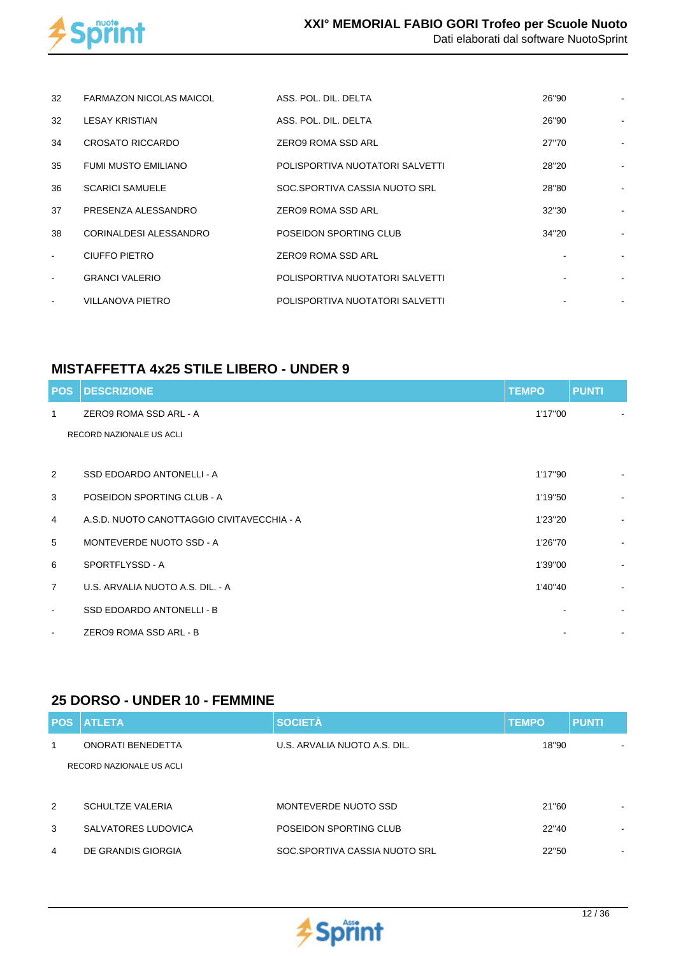

| 32     | <b>FARMAZON NICOLAS MAICOL</b> | ASS. POL. DIL. DELTA            | 26"90 |  |
|--------|--------------------------------|---------------------------------|-------|--|
| 32     | <b>LESAY KRISTIAN</b>          | ASS. POL. DIL. DELTA            | 26"90 |  |
| 34     | CROSATO RICCARDO               | <b>ZERO9 ROMA SSD ARL</b>       | 27"70 |  |
| 35     | FUMI MUSTO EMILIANO            | POLISPORTIVA NUOTATORI SALVETTI | 28"20 |  |
| 36     | <b>SCARICI SAMUELE</b>         | SOC.SPORTIVA CASSIA NUOTO SRL   | 28"80 |  |
| 37     | PRESENZA ALESSANDRO            | ZERO9 ROMA SSD ARL              | 32"30 |  |
| 38     | CORINALDESI ALESSANDRO         | POSEIDON SPORTING CLUB          | 34"20 |  |
| $\sim$ | CIUFFO PIETRO                  | <b>ZERO9 ROMA SSD ARL</b>       |       |  |
|        | <b>GRANCI VALERIO</b>          | POLISPORTIVA NUOTATORI SALVETTI |       |  |
|        | <b>VILLANOVA PIETRO</b>        | POLISPORTIVA NUOTATORI SALVETTI |       |  |

## **MISTAFFETTA 4x25 STILE LIBERO - UNDER 9**

| <b>POS</b>     | <b>DESCRIZIONE</b>                         | <b>TEMPO</b> | <b>PUNTI</b>             |
|----------------|--------------------------------------------|--------------|--------------------------|
| $\mathbf{1}$   | ZERO9 ROMA SSD ARL - A                     | 1'17"00      |                          |
|                | RECORD NAZIONALE US ACLI                   |              |                          |
|                |                                            |              |                          |
| 2              | SSD EDOARDO ANTONELLI - A                  | 1'17"90      |                          |
| 3              | POSEIDON SPORTING CLUB - A                 | 1'19"50      | $\blacksquare$           |
| $\overline{4}$ | A.S.D. NUOTO CANOTTAGGIO CIVITAVECCHIA - A | 1'23"20      | $\blacksquare$           |
| 5              | MONTEVERDE NUOTO SSD - A                   | 1'26"70      | $\sim$                   |
| 6              | SPORTFLYSSD - A                            | 1'39"00      | ٠                        |
| $\overline{7}$ | U.S. ARVALIA NUOTO A.S. DIL. - A           | 1'40"40      | $\overline{\phantom{0}}$ |
| $\blacksquare$ | SSD EDOARDO ANTONELLI - B                  |              | ۰                        |
| $\blacksquare$ | ZERO9 ROMA SSD ARL - B                     |              |                          |

#### **25 DORSO - UNDER 10 - FEMMINE**

| <b>POS</b> | <b>ATLETA</b>            | <b>SOCIETÀ</b>                | <b>TEMPO</b> | <b>PUNTI</b> |
|------------|--------------------------|-------------------------------|--------------|--------------|
| 1          | ONORATI BENEDETTA        | U.S. ARVALIA NUOTO A.S. DIL.  | 18"90        |              |
|            | RECORD NAZIONALE US ACLI |                               |              |              |
|            |                          |                               |              |              |
| 2          | <b>SCHULTZE VALERIA</b>  | MONTEVERDE NUOTO SSD          | 21"60        | ۰            |
| 3          | SALVATORES LUDOVICA      | POSEIDON SPORTING CLUB        | 22"40        | ۰.           |
| 4          | DE GRANDIS GIORGIA       | SOC.SPORTIVA CASSIA NUOTO SRL | 22"50        | $\,$ $\,$    |

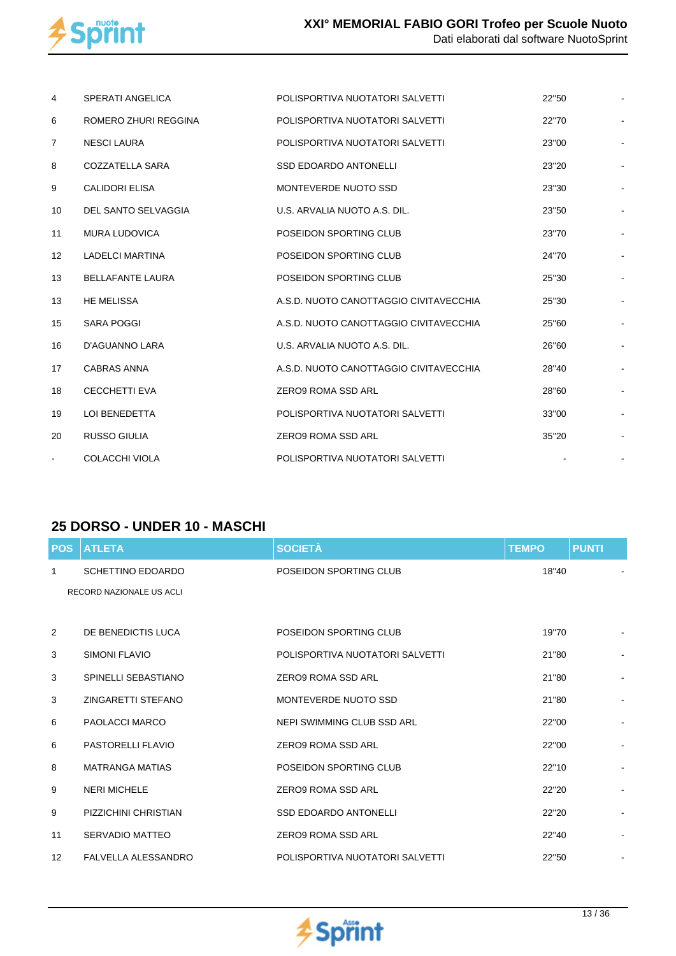

| 4              | <b>SPERATI ANGELICA</b> | POLISPORTIVA NUOTATORI SALVETTI        | 22"50 |  |
|----------------|-------------------------|----------------------------------------|-------|--|
| 6              | ROMERO ZHURI REGGINA    | POLISPORTIVA NUOTATORI SALVETTI        | 22"70 |  |
| $\overline{7}$ | <b>NESCI LAURA</b>      | POLISPORTIVA NUOTATORI SALVETTI        | 23"00 |  |
| 8              | COZZATELLA SARA         | <b>SSD EDOARDO ANTONELLI</b>           | 23"20 |  |
| 9              | <b>CALIDORI ELISA</b>   | MONTEVERDE NUOTO SSD                   | 23"30 |  |
| 10             | DEL SANTO SELVAGGIA     | U.S. ARVALIA NUOTO A.S. DIL.           | 23"50 |  |
| 11             | <b>MURA LUDOVICA</b>    | POSEIDON SPORTING CLUB                 | 23"70 |  |
| 12             | <b>LADELCI MARTINA</b>  | POSEIDON SPORTING CLUB                 | 24"70 |  |
| 13             | <b>BELLAFANTE LAURA</b> | POSEIDON SPORTING CLUB                 | 25"30 |  |
| 13             | <b>HE MELISSA</b>       | A.S.D. NUOTO CANOTTAGGIO CIVITAVECCHIA | 25"30 |  |
| 15             | <b>SARA POGGI</b>       | A.S.D. NUOTO CANOTTAGGIO CIVITAVECCHIA | 25"60 |  |
| 16             | D'AGUANNO LARA          | U.S. ARVALIA NUOTO A.S. DIL.           | 26"60 |  |
| 17             | CABRAS ANNA             | A.S.D. NUOTO CANOTTAGGIO CIVITAVECCHIA | 28"40 |  |
| 18             | <b>CECCHETTI EVA</b>    | <b>ZERO9 ROMA SSD ARL</b>              | 28"60 |  |
| 19             | <b>LOI BENEDETTA</b>    | POLISPORTIVA NUOTATORI SALVETTI        | 33"00 |  |
| 20             | <b>RUSSO GIULIA</b>     | ZERO9 ROMA SSD ARL                     | 35"20 |  |
| $\blacksquare$ | <b>COLACCHI VIOLA</b>   | POLISPORTIVA NUOTATORI SALVETTI        |       |  |

## **25 DORSO - UNDER 10 - MASCHI**

| <b>POS</b>        | <b>ATLETA</b>              | <b>SOCIETÀ</b>                  | <b>TEMPO</b> | <b>PUNTI</b> |                |
|-------------------|----------------------------|---------------------------------|--------------|--------------|----------------|
| 1                 | <b>SCHETTINO EDOARDO</b>   | POSEIDON SPORTING CLUB          | 18"40        |              |                |
|                   | RECORD NAZIONALE US ACLI   |                                 |              |              |                |
|                   |                            |                                 |              |              |                |
| 2                 | DE BENEDICTIS LUCA         | POSEIDON SPORTING CLUB          | 19"70        |              |                |
| 3                 | <b>SIMONI FLAVIO</b>       | POLISPORTIVA NUOTATORI SALVETTI | 21"80        |              |                |
| 3                 | SPINELLI SEBASTIANO        | ZERO9 ROMA SSD ARL              | 21"80        |              |                |
| 3                 | <b>ZINGARETTI STEFANO</b>  | MONTEVERDE NUOTO SSD            | 21"80        |              | $\blacksquare$ |
| 6                 | <b>PAOLACCI MARCO</b>      | NEPI SWIMMING CLUB SSD ARL      | 22"00        |              |                |
| 6                 | <b>PASTORELLI FLAVIO</b>   | ZERO9 ROMA SSD ARL              | 22"00        |              |                |
| 8                 | <b>MATRANGA MATIAS</b>     | POSEIDON SPORTING CLUB          | 22"10        |              |                |
| 9                 | <b>NERI MICHELE</b>        | ZERO9 ROMA SSD ARL              | 22"20        |              |                |
| 9                 | PIZZICHINI CHRISTIAN       | <b>SSD EDOARDO ANTONELLI</b>    | 22"20        |              | $\blacksquare$ |
| 11                | SERVADIO MATTEO            | ZERO9 ROMA SSD ARL              | 22"40        |              | $\blacksquare$ |
| $12 \overline{ }$ | <b>FALVELLA ALESSANDRO</b> | POLISPORTIVA NUOTATORI SALVETTI | 22"50        |              | $\blacksquare$ |

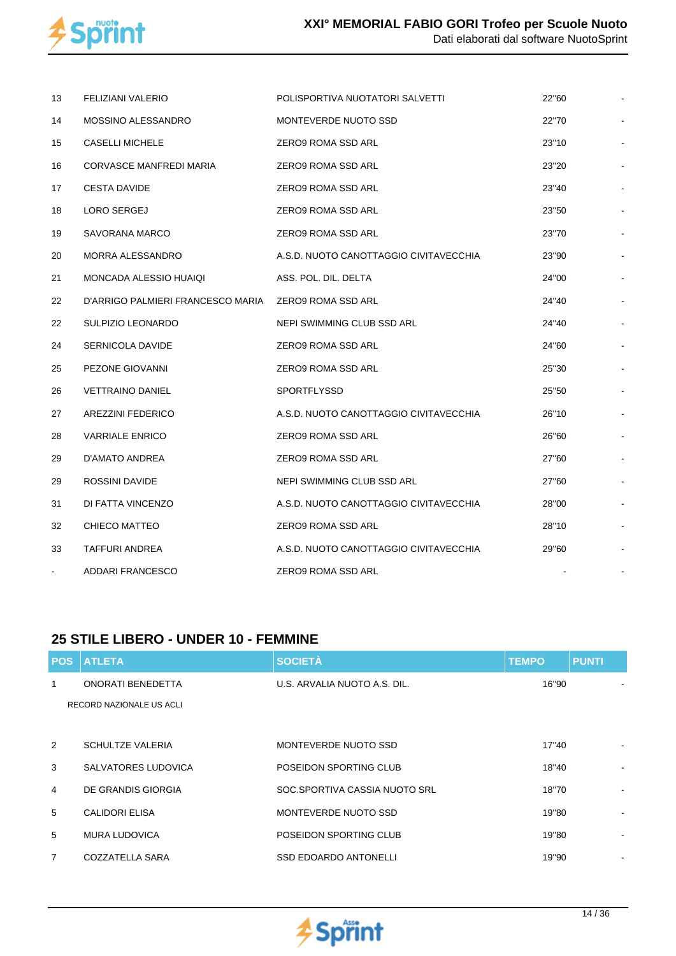

| 13 | FELIZIANI VALERIO                 | POLISPORTIVA NUOTATORI SALVETTI        | 22"60 |  |
|----|-----------------------------------|----------------------------------------|-------|--|
| 14 | MOSSINO ALESSANDRO                | MONTEVERDE NUOTO SSD                   | 22"70 |  |
| 15 | <b>CASELLI MICHELE</b>            | ZERO9 ROMA SSD ARL                     | 23"10 |  |
| 16 | CORVASCE MANFREDI MARIA           | ZERO9 ROMA SSD ARL                     | 23"20 |  |
| 17 | <b>CESTA DAVIDE</b>               | ZERO9 ROMA SSD ARL                     | 23"40 |  |
| 18 | LORO SERGEJ                       | ZERO9 ROMA SSD ARL                     | 23"50 |  |
| 19 | SAVORANA MARCO                    | ZERO9 ROMA SSD ARL                     | 23"70 |  |
| 20 | MORRA ALESSANDRO                  | A.S.D. NUOTO CANOTTAGGIO CIVITAVECCHIA | 23"90 |  |
| 21 | MONCADA ALESSIO HUAIQI            | ASS. POL. DIL. DELTA                   | 24"00 |  |
| 22 | D'ARRIGO PALMIERI FRANCESCO MARIA | ZERO9 ROMA SSD ARL                     | 24"40 |  |
| 22 | SULPIZIO LEONARDO                 | NEPI SWIMMING CLUB SSD ARL             | 24"40 |  |
| 24 | <b>SERNICOLA DAVIDE</b>           | ZERO9 ROMA SSD ARL                     | 24"60 |  |
| 25 | PEZONE GIOVANNI                   | ZERO9 ROMA SSD ARL                     | 25"30 |  |
| 26 | <b>VETTRAINO DANIEL</b>           | <b>SPORTFLYSSD</b>                     | 25"50 |  |
| 27 | AREZZINI FEDERICO                 | A.S.D. NUOTO CANOTTAGGIO CIVITAVECCHIA | 26"10 |  |
| 28 | <b>VARRIALE ENRICO</b>            | ZERO9 ROMA SSD ARL                     | 26"60 |  |
| 29 | D'AMATO ANDREA                    | ZERO9 ROMA SSD ARL                     | 27"60 |  |
| 29 | ROSSINI DAVIDE                    | NEPI SWIMMING CLUB SSD ARL             | 27"60 |  |
| 31 | DI FATTA VINCENZO                 | A.S.D. NUOTO CANOTTAGGIO CIVITAVECCHIA | 28"00 |  |
| 32 | CHIECO MATTEO                     | ZERO9 ROMA SSD ARL                     | 28"10 |  |
| 33 | TAFFURI ANDREA                    | A.S.D. NUOTO CANOTTAGGIO CIVITAVECCHIA | 29"60 |  |
|    | ADDARI FRANCESCO                  | ZERO9 ROMA SSD ARL                     |       |  |

#### **25 STILE LIBERO - UNDER 10 - FEMMINE**

|                | <b>POS ATLETA</b>        | <b>SOCIETÀ</b>                | <b>TEMPO</b> | <b>PUNTI</b> |
|----------------|--------------------------|-------------------------------|--------------|--------------|
| $\mathbf{1}$   | ONORATI BENEDETTA        | U.S. ARVALIA NUOTO A.S. DIL.  | 16"90        |              |
|                | RECORD NAZIONALE US ACLI |                               |              |              |
|                |                          |                               |              |              |
| 2              | <b>SCHULTZE VALERIA</b>  | MONTEVERDE NUOTO SSD          | 17"40        |              |
| 3              | SALVATORES LUDOVICA      | POSEIDON SPORTING CLUB        | 18"40        |              |
| 4              | DE GRANDIS GIORGIA       | SOC.SPORTIVA CASSIA NUOTO SRL | 18"70        |              |
| 5              | CALIDORI ELISA           | MONTEVERDE NUOTO SSD          | 19"80        |              |
| 5              | <b>MURA LUDOVICA</b>     | POSEIDON SPORTING CLUB        | 19"80        |              |
| $\overline{7}$ | COZZATELLA SARA          | <b>SSD EDOARDO ANTONELLI</b>  | 19"90        | ٠            |

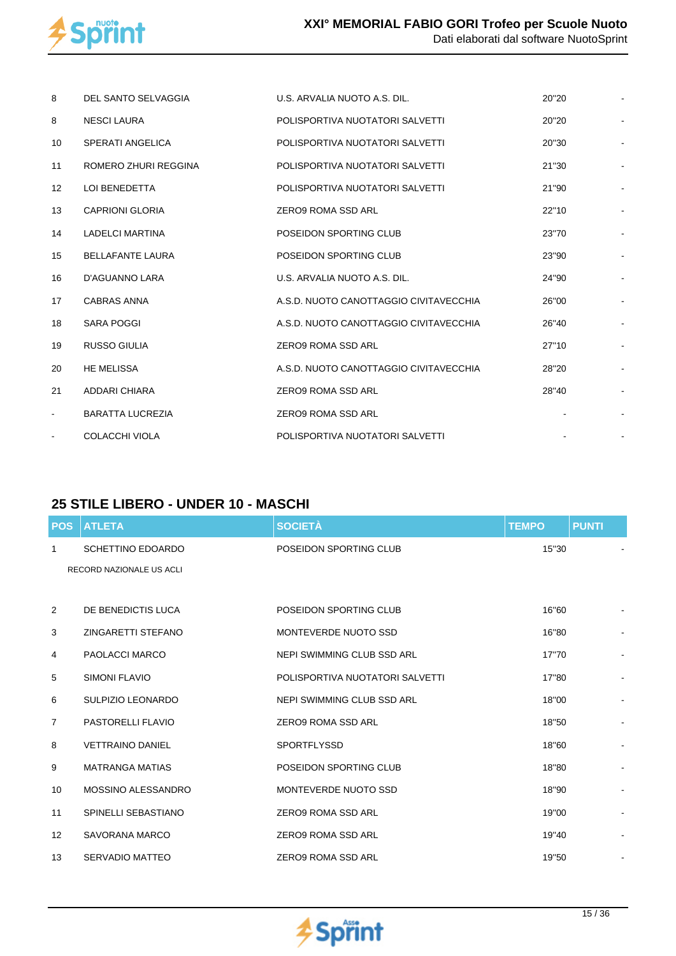

| 8                 | DEL SANTO SELVAGGIA     | U.S. ARVALIA NUOTO A.S. DIL.           | 20"20 |    |
|-------------------|-------------------------|----------------------------------------|-------|----|
| 8                 | NESCI LAURA             | POLISPORTIVA NUOTATORI SALVETTI        | 20"20 |    |
| 10                | SPERATI ANGELICA        | POLISPORTIVA NUOTATORI SALVETTI        | 20"30 |    |
| 11                | ROMERO ZHURI REGGINA    | POLISPORTIVA NUOTATORI SALVETTI        | 21"30 | ÷, |
| $12 \overline{ }$ | <b>LOI BENEDETTA</b>    | POLISPORTIVA NUOTATORI SALVETTI        | 21"90 |    |
| 13                | <b>CAPRIONI GLORIA</b>  | ZERO9 ROMA SSD ARL                     | 22"10 |    |
| 14                | <b>LADELCI MARTINA</b>  | POSEIDON SPORTING CLUB                 | 23"70 |    |
| 15                | <b>BELLAFANTE LAURA</b> | POSEIDON SPORTING CLUB                 | 23"90 |    |
| 16                | D'AGUANNO LARA          | U.S. ARVALIA NUOTO A.S. DIL.           | 24"90 | Ĭ. |
| 17                | <b>CABRAS ANNA</b>      | A.S.D. NUOTO CANOTTAGGIO CIVITAVECCHIA | 26"00 |    |
| 18                | SARA POGGI              | A.S.D. NUOTO CANOTTAGGIO CIVITAVECCHIA | 26"40 |    |
| 19                | <b>RUSSO GIULIA</b>     | <b>ZERO9 ROMA SSD ARL</b>              | 27"10 |    |
| 20                | <b>HE MELISSA</b>       | A.S.D. NUOTO CANOTTAGGIO CIVITAVECCHIA | 28"20 |    |
| 21                | <b>ADDARI CHIARA</b>    | ZERO9 ROMA SSD ARL                     | 28"40 | ÷  |
| $\blacksquare$    | <b>BARATTA LUCREZIA</b> | ZERO9 ROMA SSD ARL                     |       |    |
| $\blacksquare$    | <b>COLACCHI VIOLA</b>   | POLISPORTIVA NUOTATORI SALVETTI        |       |    |

#### **25 STILE LIBERO - UNDER 10 - MASCHI**

| <b>POS</b>        | <b>ATLETA</b>            | <b>SOCIETÀ</b>                  | <b>TEMPO</b> | <b>PUNTI</b>             |  |
|-------------------|--------------------------|---------------------------------|--------------|--------------------------|--|
| $\mathbf{1}$      | <b>SCHETTINO EDOARDO</b> | POSEIDON SPORTING CLUB          | 15"30        |                          |  |
|                   | RECORD NAZIONALE US ACLI |                                 |              |                          |  |
|                   |                          |                                 |              |                          |  |
| 2                 | DE BENEDICTIS LUCA       | POSEIDON SPORTING CLUB          | 16"60        |                          |  |
| 3                 | ZINGARETTI STEFANO       | MONTEVERDE NUOTO SSD            | 16"80        |                          |  |
| 4                 | <b>PAOLACCI MARCO</b>    | NEPI SWIMMING CLUB SSD ARL      | 17"70        |                          |  |
| 5                 | SIMONI FLAVIO            | POLISPORTIVA NUOTATORI SALVETTI | 17"80        |                          |  |
| 6                 | <b>SULPIZIO LEONARDO</b> | NEPI SWIMMING CLUB SSD ARL      | 18"00        | $\overline{\phantom{a}}$ |  |
| 7                 | <b>PASTORELLI FLAVIO</b> | <b>ZERO9 ROMA SSD ARL</b>       | 18"50        |                          |  |
| 8                 | <b>VETTRAINO DANIEL</b>  | <b>SPORTFLYSSD</b>              | 18"60        | $\overline{a}$           |  |
| 9                 | <b>MATRANGA MATIAS</b>   | POSEIDON SPORTING CLUB          | 18"80        | $\overline{\phantom{0}}$ |  |
| 10                | MOSSINO ALESSANDRO       | MONTEVERDE NUOTO SSD            | 18"90        |                          |  |
| 11                | SPINELLI SEBASTIANO      | <b>ZERO9 ROMA SSD ARL</b>       | 19"00        |                          |  |
| $12 \overline{ }$ | SAVORANA MARCO           | <b>ZERO9 ROMA SSD ARL</b>       | 19"40        | $\overline{a}$           |  |
| 13                | SERVADIO MATTEO          | ZERO9 ROMA SSD ARL              | 19"50        | $\overline{a}$           |  |

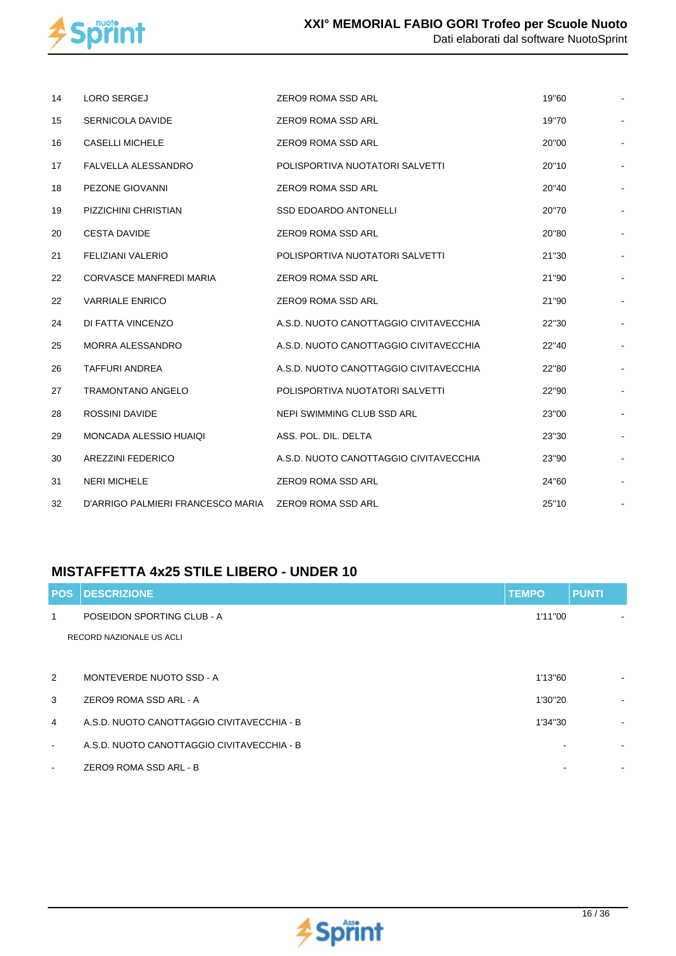

| 14 | <b>LORO SERGEJ</b>                                   | ZERO9 ROMA SSD ARL                     | 19"60 |  |
|----|------------------------------------------------------|----------------------------------------|-------|--|
| 15 | SERNICOLA DAVIDE                                     | <b>ZERO9 ROMA SSD ARL</b>              | 19"70 |  |
| 16 | <b>CASELLI MICHELE</b>                               | <b>ZERO9 ROMA SSD ARL</b>              | 20"00 |  |
| 17 | FALVELLA ALESSANDRO                                  | POLISPORTIVA NUOTATORI SALVETTI        | 20"10 |  |
| 18 | PEZONE GIOVANNI                                      | <b>ZERO9 ROMA SSD ARL</b>              | 20"40 |  |
| 19 | PIZZICHINI CHRISTIAN                                 | <b>SSD EDOARDO ANTONELLI</b>           | 20"70 |  |
| 20 | <b>CESTA DAVIDE</b>                                  | <b>ZERO9 ROMA SSD ARL</b>              | 20"80 |  |
| 21 | <b>FELIZIANI VALERIO</b>                             | POLISPORTIVA NUOTATORI SALVETTI        | 21"30 |  |
| 22 | <b>CORVASCE MANFREDI MARIA</b>                       | <b>ZERO9 ROMA SSD ARL</b>              | 21"90 |  |
| 22 | <b>VARRIALE ENRICO</b>                               | <b>ZERO9 ROMA SSD ARL</b>              | 21"90 |  |
| 24 | DI FATTA VINCENZO                                    | A.S.D. NUOTO CANOTTAGGIO CIVITAVECCHIA | 22"30 |  |
| 25 | MORRA ALESSANDRO                                     | A.S.D. NUOTO CANOTTAGGIO CIVITAVECCHIA | 22"40 |  |
| 26 | <b>TAFFURI ANDREA</b>                                | A.S.D. NUOTO CANOTTAGGIO CIVITAVECCHIA | 22"80 |  |
| 27 | <b>TRAMONTANO ANGELO</b>                             | POLISPORTIVA NUOTATORI SALVETTI        | 22"90 |  |
| 28 | <b>ROSSINI DAVIDE</b>                                | NEPI SWIMMING CLUB SSD ARL             | 23"00 |  |
| 29 | <b>MONCADA ALESSIO HUAIQI</b>                        | ASS. POL. DIL. DELTA                   | 23"30 |  |
| 30 | <b>AREZZINI FEDERICO</b>                             | A.S.D. NUOTO CANOTTAGGIO CIVITAVECCHIA | 23"90 |  |
| 31 | <b>NERI MICHELE</b>                                  | ZERO9 ROMA SSD ARL                     | 24"60 |  |
| 32 | D'ARRIGO PALMIERI FRANCESCO MARIA ZERO9 ROMA SSD ARL |                                        | 25"10 |  |

## **MISTAFFETTA 4x25 STILE LIBERO - UNDER 10**

|                | <b>POS DESCRIZIONE</b>                     | <b>TEMPO</b> | <b>PUNTI</b>   |
|----------------|--------------------------------------------|--------------|----------------|
| 1              | POSEIDON SPORTING CLUB - A                 | 1'11"00      |                |
|                | RECORD NAZIONALE US ACLI                   |              |                |
|                |                                            |              |                |
| 2              | MONTEVERDE NUOTO SSD - A                   | 1'13"60      |                |
| 3              | ZERO9 ROMA SSD ARL - A                     | 1'30"20      | $\sim$         |
| $\overline{4}$ | A.S.D. NUOTO CANOTTAGGIO CIVITAVECCHIA - B | 1'34"30      | $\blacksquare$ |
| $\sim$         | A.S.D. NUOTO CANOTTAGGIO CIVITAVECCHIA - B |              | $\blacksquare$ |
| $\blacksquare$ | ZERO9 ROMA SSD ARL - B                     |              |                |

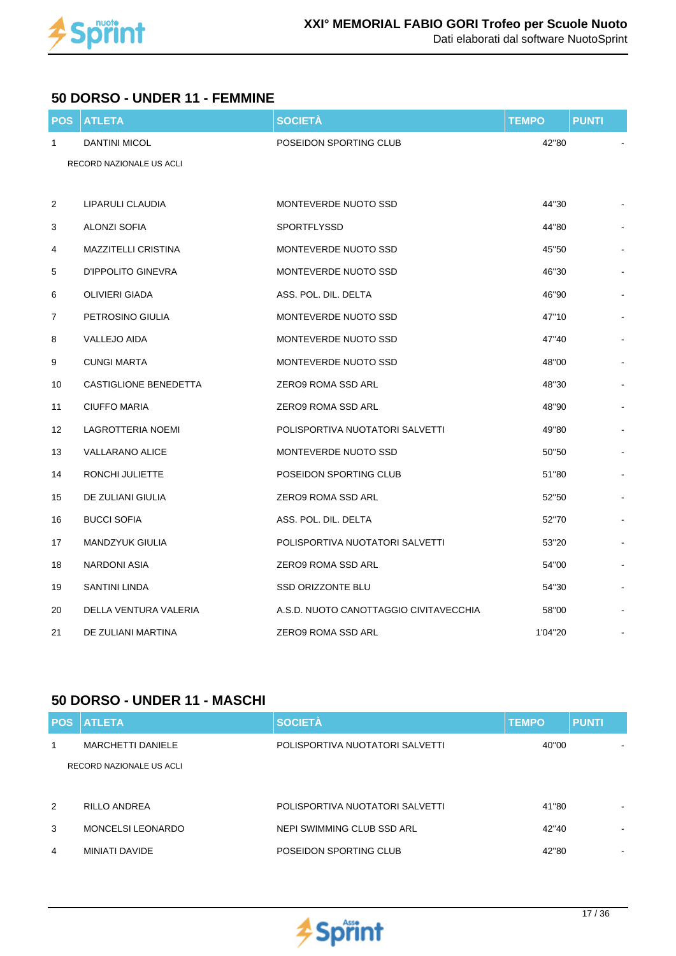

#### **50 DORSO - UNDER 11 - FEMMINE**

| <b>POS</b>     | <b>ATLETA</b>                | <b>SOCIETÀ</b>                         | <b>TEMPO</b> | <b>PUNTI</b> |
|----------------|------------------------------|----------------------------------------|--------------|--------------|
| 1              | <b>DANTINI MICOL</b>         | POSEIDON SPORTING CLUB                 | 42"80        |              |
|                | RECORD NAZIONALE US ACLI     |                                        |              |              |
|                |                              |                                        |              |              |
| 2              | LIPARULI CLAUDIA             | MONTEVERDE NUOTO SSD                   | 44"30        |              |
| 3              | <b>ALONZI SOFIA</b>          | SPORTFLYSSD                            | 44"80        |              |
| 4              | <b>MAZZITELLI CRISTINA</b>   | MONTEVERDE NUOTO SSD                   | 45"50        |              |
| 5              | D'IPPOLITO GINEVRA           | MONTEVERDE NUOTO SSD                   | 46"30        |              |
| 6              | OLIVIERI GIADA               | ASS. POL. DIL. DELTA                   | 46"90        |              |
| $\overline{7}$ | PETROSINO GIULIA             | MONTEVERDE NUOTO SSD                   | 47"10        |              |
| 8              | <b>VALLEJO AIDA</b>          | MONTEVERDE NUOTO SSD                   | 47"40        |              |
| 9              | <b>CUNGI MARTA</b>           | MONTEVERDE NUOTO SSD                   | 48"00        |              |
| 10             | <b>CASTIGLIONE BENEDETTA</b> | ZERO9 ROMA SSD ARL                     | 48"30        |              |
| 11             | <b>CIUFFO MARIA</b>          | ZERO9 ROMA SSD ARL                     | 48"90        |              |
| 12             | <b>LAGROTTERIA NOEMI</b>     | POLISPORTIVA NUOTATORI SALVETTI        | 49"80        |              |
| 13             | <b>VALLARANO ALICE</b>       | MONTEVERDE NUOTO SSD                   | 50"50        |              |
| 14             | RONCHI JULIETTE              | POSEIDON SPORTING CLUB                 | 51"80        |              |
| 15             | DE ZULIANI GIULIA            | ZERO9 ROMA SSD ARL                     | 52"50        |              |
| 16             | <b>BUCCI SOFIA</b>           | ASS. POL. DIL. DELTA                   | 52"70        |              |
| 17             | <b>MANDZYUK GIULIA</b>       | POLISPORTIVA NUOTATORI SALVETTI        | 53"20        |              |
| 18             | <b>NARDONI ASIA</b>          | ZERO9 ROMA SSD ARL                     | 54"00        |              |
| 19             | SANTINI LINDA                | <b>SSD ORIZZONTE BLU</b>               | 54"30        |              |
| 20             | DELLA VENTURA VALERIA        | A.S.D. NUOTO CANOTTAGGIO CIVITAVECCHIA | 58"00        |              |
| 21             | DE ZULIANI MARTINA           | ZERO9 ROMA SSD ARL                     | 1'04"20      |              |

#### **50 DORSO - UNDER 11 - MASCHI**

| <b>POS</b> | <b>ATLETA</b>            | <b>SOCIETÀ</b>                  | <b>TEMPO</b> | <b>PUNTI</b>             |
|------------|--------------------------|---------------------------------|--------------|--------------------------|
| 1          | <b>MARCHETTI DANIELE</b> | POLISPORTIVA NUOTATORI SALVETTI | 40"00        |                          |
|            | RECORD NAZIONALE US ACLI |                                 |              |                          |
|            |                          |                                 |              |                          |
| 2          | RILLO ANDREA             | POLISPORTIVA NUOTATORI SALVETTI | 41"80        | $\overline{\phantom{0}}$ |
| 3          | <b>MONCELSI LEONARDO</b> | NEPI SWIMMING CLUB SSD ARL      | 42"40        | $\,$                     |
| 4          | MINIATI DAVIDE           | POSEIDON SPORTING CLUB          | 42"80        | $\,$                     |

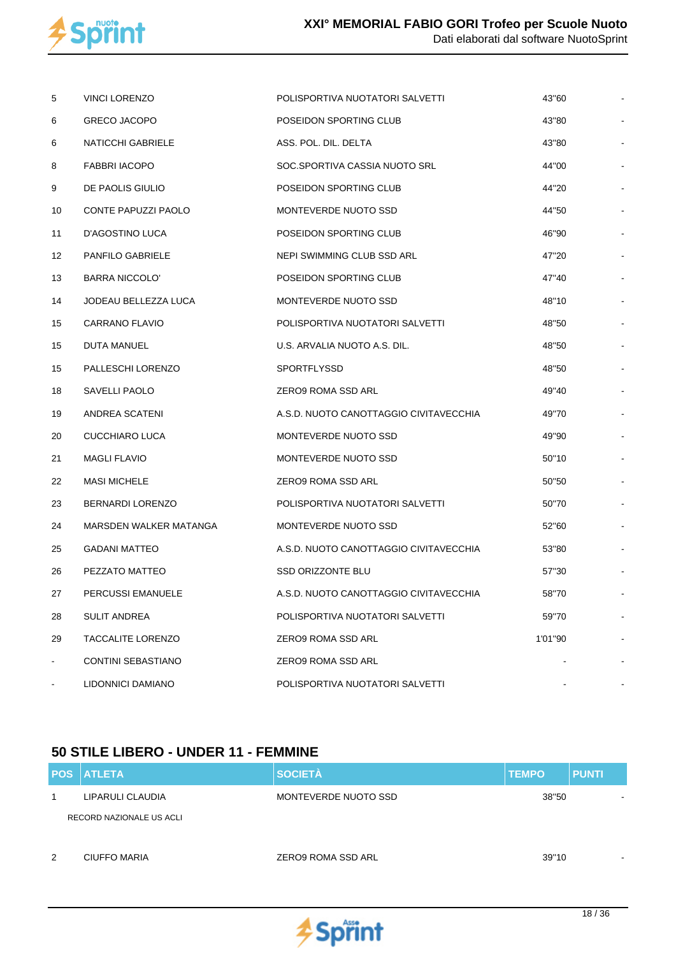

| 5  | <b>VINCI LORENZO</b>     | POLISPORTIVA NUOTATORI SALVETTI        | 43"60   |  |
|----|--------------------------|----------------------------------------|---------|--|
| 6  | <b>GRECO JACOPO</b>      | POSEIDON SPORTING CLUB                 | 43"80   |  |
| 6  | NATICCHI GABRIELE        | ASS. POL. DIL. DELTA                   | 43"80   |  |
| 8  | <b>FABBRI IACOPO</b>     | SOC.SPORTIVA CASSIA NUOTO SRL          | 44"00   |  |
| 9  | DE PAOLIS GIULIO         | POSEIDON SPORTING CLUB                 | 44"20   |  |
| 10 | CONTE PAPUZZI PAOLO      | MONTEVERDE NUOTO SSD                   | 44"50   |  |
| 11 | D'AGOSTINO LUCA          | POSEIDON SPORTING CLUB                 | 46"90   |  |
| 12 | <b>PANFILO GABRIELE</b>  | NEPI SWIMMING CLUB SSD ARL             | 47"20   |  |
| 13 | <b>BARRA NICCOLO'</b>    | POSEIDON SPORTING CLUB                 | 47"40   |  |
| 14 | JODEAU BELLEZZA LUCA     | MONTEVERDE NUOTO SSD                   | 48"10   |  |
| 15 | <b>CARRANO FLAVIO</b>    | POLISPORTIVA NUOTATORI SALVETTI        | 48"50   |  |
| 15 | DUTA MANUEL              | U.S. ARVALIA NUOTO A.S. DIL.           | 48"50   |  |
| 15 | PALLESCHI LORENZO        | <b>SPORTFLYSSD</b>                     | 48"50   |  |
| 18 | SAVELLI PAOLO            | ZERO9 ROMA SSD ARL                     | 49"40   |  |
| 19 | ANDREA SCATENI           | A.S.D. NUOTO CANOTTAGGIO CIVITAVECCHIA | 49"70   |  |
| 20 | CUCCHIARO LUCA           | MONTEVERDE NUOTO SSD                   | 49"90   |  |
| 21 | <b>MAGLI FLAVIO</b>      | MONTEVERDE NUOTO SSD                   | 50"10   |  |
| 22 | <b>MASI MICHELE</b>      | ZERO9 ROMA SSD ARL                     | 50"50   |  |
| 23 | <b>BERNARDI LORENZO</b>  | POLISPORTIVA NUOTATORI SALVETTI        | 50"70   |  |
| 24 | MARSDEN WALKER MATANGA   | MONTEVERDE NUOTO SSD                   | 52"60   |  |
| 25 | <b>GADANI MATTEO</b>     | A.S.D. NUOTO CANOTTAGGIO CIVITAVECCHIA | 53"80   |  |
| 26 | PEZZATO MATTEO           | <b>SSD ORIZZONTE BLU</b>               | 57"30   |  |
| 27 | PERCUSSI EMANUELE        | A.S.D. NUOTO CANOTTAGGIO CIVITAVECCHIA | 58"70   |  |
| 28 | SULIT ANDREA             | POLISPORTIVA NUOTATORI SALVETTI        | 59"70   |  |
| 29 | <b>TACCALITE LORENZO</b> | ZERO9 ROMA SSD ARL                     | 1'01"90 |  |
|    | CONTINI SEBASTIANO       | ZERO9 ROMA SSD ARL                     |         |  |
|    | LIDONNICI DAMIANO        | POLISPORTIVA NUOTATORI SALVETTI        |         |  |

## **50 STILE LIBERO - UNDER 11 - FEMMINE**

|   | <b>POS ATLETA</b>        | <b>SOCIETÀ</b>            | <b>TEMPO</b> | <b>PUNTI</b>             |
|---|--------------------------|---------------------------|--------------|--------------------------|
|   | LIPARULI CLAUDIA         | MONTEVERDE NUOTO SSD      | 38"50        | $\overline{\phantom{a}}$ |
|   | RECORD NAZIONALE US ACLI |                           |              |                          |
|   |                          |                           |              |                          |
| 2 | CIUFFO MARIA             | <b>ZERO9 ROMA SSD ARL</b> | 39"10        | $\blacksquare$           |

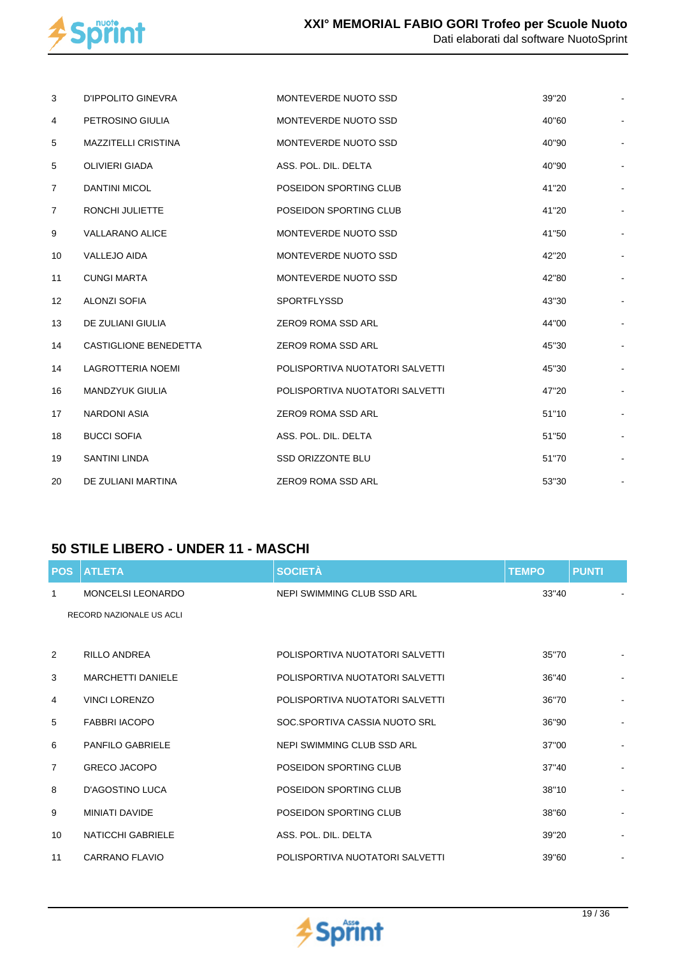

| 3                 | D'IPPOLITO GINEVRA       | MONTEVERDE NUOTO SSD            | 39"20 |  |
|-------------------|--------------------------|---------------------------------|-------|--|
| $\overline{4}$    | PETROSINO GIULIA         | MONTEVERDE NUOTO SSD            | 40"60 |  |
| 5                 | MAZZITELLI CRISTINA      | MONTEVERDE NUOTO SSD            | 40"90 |  |
| 5                 | <b>OLIVIERI GIADA</b>    | ASS. POL. DIL. DELTA            | 40"90 |  |
| $\overline{7}$    | <b>DANTINI MICOL</b>     | POSEIDON SPORTING CLUB          | 41"20 |  |
| $\overline{7}$    | <b>RONCHI JULIETTE</b>   | POSEIDON SPORTING CLUB          | 41"20 |  |
| 9                 | <b>VALLARANO ALICE</b>   | MONTEVERDE NUOTO SSD            | 41"50 |  |
| 10                | <b>VALLEJO AIDA</b>      | MONTEVERDE NUOTO SSD            | 42"20 |  |
| 11                | <b>CUNGI MARTA</b>       | MONTEVERDE NUOTO SSD            | 42"80 |  |
| $12 \overline{ }$ | <b>ALONZI SOFIA</b>      | <b>SPORTFLYSSD</b>              | 43"30 |  |
| 13                | DE ZULIANI GIULIA        | <b>ZERO9 ROMA SSD ARL</b>       | 44"00 |  |
| 14                | CASTIGLIONE BENEDETTA    | <b>ZERO9 ROMA SSD ARL</b>       | 45"30 |  |
| 14                | <b>LAGROTTERIA NOEMI</b> | POLISPORTIVA NUOTATORI SALVETTI | 45"30 |  |
| 16                | <b>MANDZYUK GIULIA</b>   | POLISPORTIVA NUOTATORI SALVETTI | 47"20 |  |
| 17                | <b>NARDONI ASIA</b>      | <b>ZERO9 ROMA SSD ARL</b>       | 51"10 |  |
| 18                | <b>BUCCI SOFIA</b>       | ASS. POL. DIL. DELTA            | 51"50 |  |
| 19                | <b>SANTINI LINDA</b>     | <b>SSD ORIZZONTE BLU</b>        | 51"70 |  |
| 20                | DE ZULIANI MARTINA       | <b>ZERO9 ROMA SSD ARL</b>       | 53"30 |  |

## **50 STILE LIBERO - UNDER 11 - MASCHI**

| <b>POS</b>     | <b>ATLETA</b>            | <b>SOCIETÀ</b>                  | <b>TEMPO</b> | <b>PUNTI</b>   |
|----------------|--------------------------|---------------------------------|--------------|----------------|
| 1              | <b>MONCELSI LEONARDO</b> | NEPI SWIMMING CLUB SSD ARL      | 33"40        |                |
|                | RECORD NAZIONALE US ACLI |                                 |              |                |
|                |                          |                                 |              |                |
| 2              | <b>RILLO ANDREA</b>      | POLISPORTIVA NUOTATORI SALVETTI | 35"70        |                |
| 3              | <b>MARCHETTI DANIELE</b> | POLISPORTIVA NUOTATORI SALVETTI | 36"40        | ۰              |
| 4              | VINCI LORENZO            | POLISPORTIVA NUOTATORI SALVETTI | 36"70        |                |
| 5              | <b>FABBRI IACOPO</b>     | SOC.SPORTIVA CASSIA NUOTO SRL   | 36"90        |                |
| 6              | <b>PANFILO GABRIELE</b>  | NEPI SWIMMING CLUB SSD ARL      | 37"00        |                |
| $\overline{7}$ | <b>GRECO JACOPO</b>      | POSEIDON SPORTING CLUB          | 37"40        | $\blacksquare$ |
| 8              | <b>D'AGOSTINO LUCA</b>   | POSEIDON SPORTING CLUB          | 38"10        |                |
| 9              | <b>MINIATI DAVIDE</b>    | POSEIDON SPORTING CLUB          | 38"60        |                |
| 10             | <b>NATICCHI GABRIELE</b> | ASS. POL. DIL. DELTA            | 39"20        |                |
| 11             | CARRANO FLAVIO           | POLISPORTIVA NUOTATORI SALVETTI | 39"60        |                |

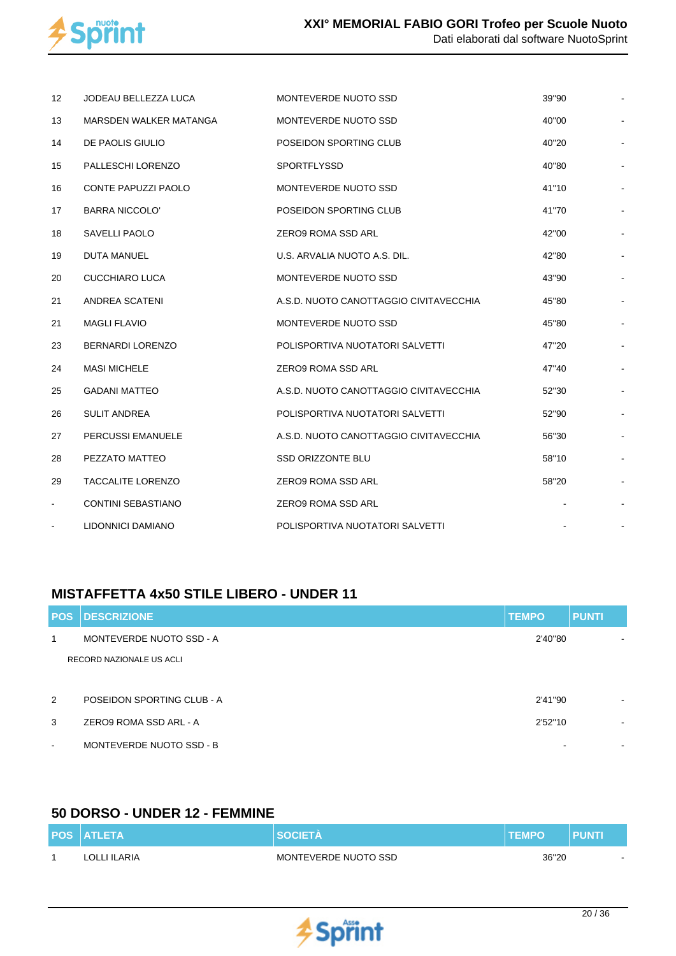

| 12             | JODEAU BELLEZZA LUCA       | MONTEVERDE NUOTO SSD                   | 39"90 |  |
|----------------|----------------------------|----------------------------------------|-------|--|
| 13             | MARSDEN WALKER MATANGA     | MONTEVERDE NUOTO SSD                   | 40"00 |  |
| 14             | DE PAOLIS GIULIO           | POSEIDON SPORTING CLUB                 | 40"20 |  |
| 15             | PALLESCHI LORENZO          | <b>SPORTFLYSSD</b>                     | 40"80 |  |
| 16             | <b>CONTE PAPUZZI PAOLO</b> | MONTEVERDE NUOTO SSD                   | 41"10 |  |
| 17             | <b>BARRA NICCOLO'</b>      | POSEIDON SPORTING CLUB                 | 41"70 |  |
| 18             | <b>SAVELLI PAOLO</b>       | ZERO9 ROMA SSD ARL                     | 42"00 |  |
| 19             | <b>DUTA MANUEL</b>         | U.S. ARVALIA NUOTO A.S. DIL.           | 42"80 |  |
| 20             | <b>CUCCHIARO LUCA</b>      | MONTEVERDE NUOTO SSD                   | 43"90 |  |
| 21             | ANDREA SCATENI             | A.S.D. NUOTO CANOTTAGGIO CIVITAVECCHIA | 45"80 |  |
| 21             | <b>MAGLI FLAVIO</b>        | MONTEVERDE NUOTO SSD                   | 45"80 |  |
| 23             | <b>BERNARDI LORENZO</b>    | POLISPORTIVA NUOTATORI SALVETTI        | 47"20 |  |
| 24             | <b>MASI MICHELE</b>        | ZERO9 ROMA SSD ARL                     | 47"40 |  |
| 25             | <b>GADANI MATTEO</b>       | A.S.D. NUOTO CANOTTAGGIO CIVITAVECCHIA | 52"30 |  |
| 26             | <b>SULIT ANDREA</b>        | POLISPORTIVA NUOTATORI SALVETTI        | 52"90 |  |
| 27             | <b>PERCUSSI EMANUELE</b>   | A.S.D. NUOTO CANOTTAGGIO CIVITAVECCHIA | 56"30 |  |
| 28             | PEZZATO MATTEO             | <b>SSD ORIZZONTE BLU</b>               | 58"10 |  |
| 29             | <b>TACCALITE LORENZO</b>   | ZERO9 ROMA SSD ARL                     | 58"20 |  |
| $\blacksquare$ | <b>CONTINI SEBASTIANO</b>  | <b>ZERO9 ROMA SSD ARL</b>              |       |  |
|                | LIDONNICI DAMIANO          | POLISPORTIVA NUOTATORI SALVETTI        |       |  |

## **MISTAFFETTA 4x50 STILE LIBERO - UNDER 11**

| <b>POS</b> | <b>DESCRIZIONE</b>         | <b>TEMPO</b> | <b>PUNTI</b>             |
|------------|----------------------------|--------------|--------------------------|
| 1          | MONTEVERDE NUOTO SSD - A   | 2'40"80      | $\overline{\phantom{0}}$ |
|            | RECORD NAZIONALE US ACLI   |              |                          |
|            |                            |              |                          |
| 2          | POSEIDON SPORTING CLUB - A | 2'41"90      | $\overline{\phantom{a}}$ |
| 3          | ZERO9 ROMA SSD ARL - A     | 2'52"10      | $\sim$                   |
| $\,$ $\,$  | MONTEVERDE NUOTO SSD - B   |              | $\sim$                   |

## **50 DORSO - UNDER 12 - FEMMINE**

| <b>POS ATLETA</b> | <b>SOCIETA</b>       | <b>TEMPO</b> | PUNT |
|-------------------|----------------------|--------------|------|
| LOLLI ILARIA      | MONTEVERDE NUOTO SSD | 36"20        |      |

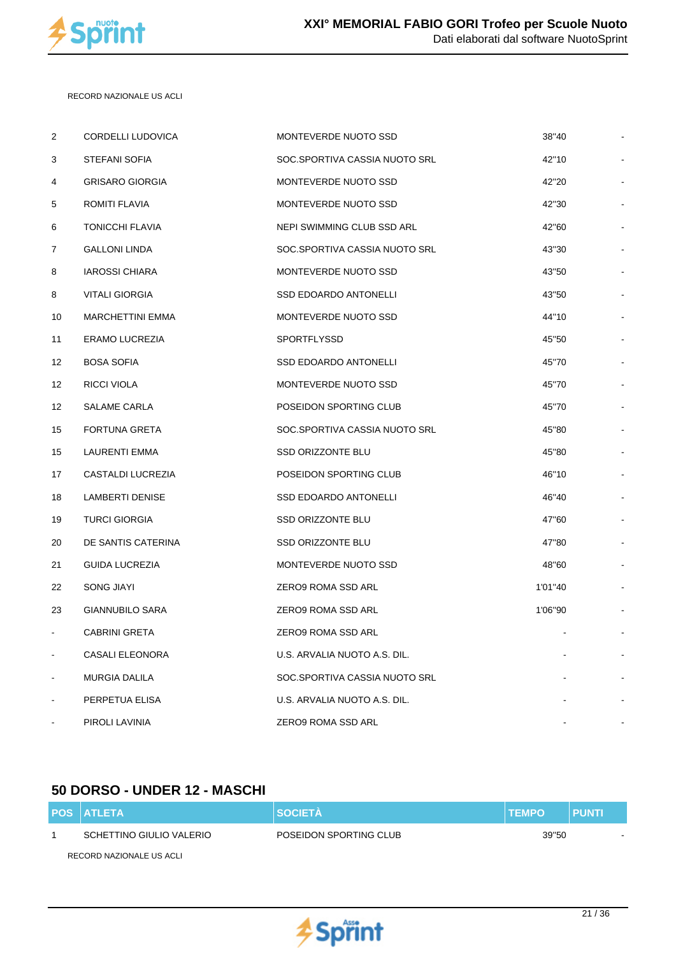

 RECORD NAZIONALE US ACLI

| $\overline{2}$ | CORDELLI LUDOVICA       | MONTEVERDE NUOTO SSD          | 38"40          |    |
|----------------|-------------------------|-------------------------------|----------------|----|
| 3              | STEFANI SOFIA           | SOC.SPORTIVA CASSIA NUOTO SRL | 42"10          |    |
| 4              | <b>GRISARO GIORGIA</b>  | MONTEVERDE NUOTO SSD          | 42"20          |    |
| 5              | ROMITI FLAVIA           | MONTEVERDE NUOTO SSD          | 42"30          |    |
| 6              | <b>TONICCHI FLAVIA</b>  | NEPI SWIMMING CLUB SSD ARL    | 42"60          |    |
| 7              | <b>GALLONI LINDA</b>    | SOC.SPORTIVA CASSIA NUOTO SRL | 43"30          |    |
| 8              | <b>IAROSSI CHIARA</b>   | MONTEVERDE NUOTO SSD          | 43"50          |    |
| 8              | <b>VITALI GIORGIA</b>   | <b>SSD EDOARDO ANTONELLI</b>  | 43"50          |    |
| 10             | <b>MARCHETTINI EMMA</b> | MONTEVERDE NUOTO SSD          | 44"10          |    |
| 11             | ERAMO LUCREZIA          | SPORTFLYSSD                   | 45"50          |    |
| 12             | <b>BOSA SOFIA</b>       | <b>SSD EDOARDO ANTONELLI</b>  | 45"70          |    |
| 12             | RICCI VIOLA             | MONTEVERDE NUOTO SSD          | 45"70          |    |
| 12             | SALAME CARLA            | POSEIDON SPORTING CLUB        | 45"70          |    |
| 15             | <b>FORTUNA GRETA</b>    | SOC.SPORTIVA CASSIA NUOTO SRL | 45"80          |    |
| 15             | LAURENTI EMMA           | <b>SSD ORIZZONTE BLU</b>      | 45"80          |    |
| 17             | CASTALDI LUCREZIA       | POSEIDON SPORTING CLUB        | 46"10          |    |
| 18             | <b>LAMBERTI DENISE</b>  | <b>SSD EDOARDO ANTONELLI</b>  | 46"40          |    |
| 19             | <b>TURCI GIORGIA</b>    | SSD ORIZZONTE BLU             | 47"60          |    |
| 20             | DE SANTIS CATERINA      | <b>SSD ORIZZONTE BLU</b>      | 47"80          |    |
| 21             | <b>GUIDA LUCREZIA</b>   | MONTEVERDE NUOTO SSD          | 48"60          |    |
| 22             | <b>SONG JIAYI</b>       | ZERO9 ROMA SSD ARL            | 1'01"40        |    |
| 23             | GIANNUBILO SARA         | ZERO9 ROMA SSD ARL            | 1'06"90        |    |
| $\blacksquare$ | <b>CABRINI GRETA</b>    | ZERO9 ROMA SSD ARL            | $\blacksquare$ | ÷, |
|                | CASALI ELEONORA         | U.S. ARVALIA NUOTO A.S. DIL.  |                |    |
|                | <b>MURGIA DALILA</b>    | SOC.SPORTIVA CASSIA NUOTO SRL |                |    |
|                | PERPETUA ELISA          | U.S. ARVALIA NUOTO A.S. DIL.  |                |    |
|                | PIROLI LAVINIA          | ZERO9 ROMA SSD ARL            |                |    |
|                |                         |                               |                |    |

## **50 DORSO - UNDER 12 - MASCHI**

| <b>POS ATLETA</b>        | <b>SOCIETA</b>         | <b>ITEMPO</b> | <b>PUNTI</b> |
|--------------------------|------------------------|---------------|--------------|
| SCHETTINO GIULIO VALERIO | POSEIDON SPORTING CLUB | 39"50         | $\sim$       |
| RECORD NAZIONALE US ACLI |                        |               |              |

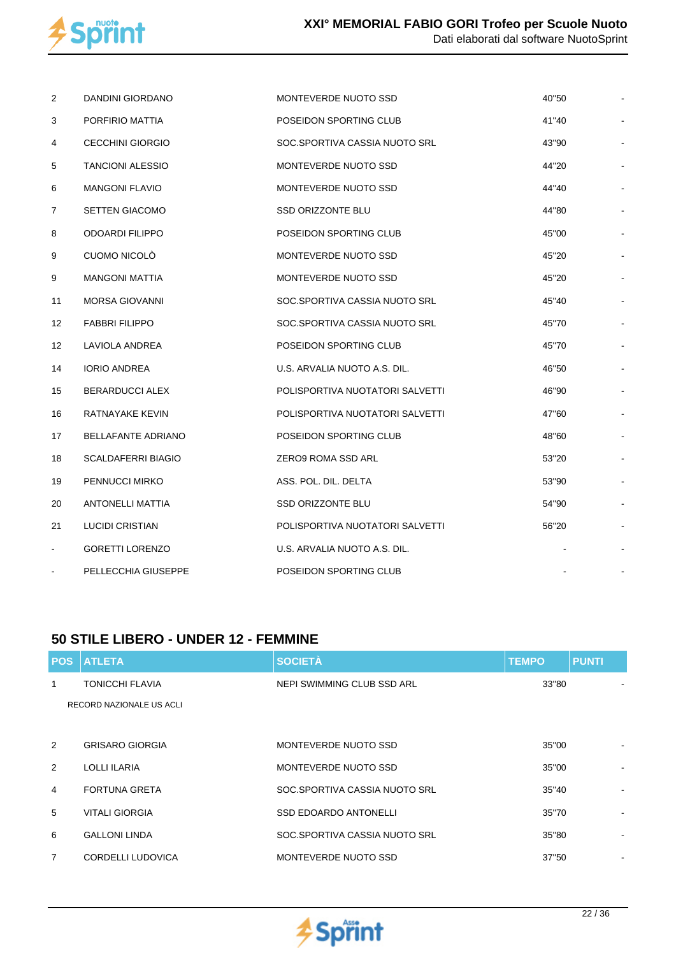

| 2              | <b>DANDINI GIORDANO</b>   | MONTEVERDE NUOTO SSD            | 40"50 |  |
|----------------|---------------------------|---------------------------------|-------|--|
| 3              | PORFIRIO MATTIA           | POSEIDON SPORTING CLUB          | 41"40 |  |
| 4              | <b>CECCHINI GIORGIO</b>   | SOC.SPORTIVA CASSIA NUOTO SRL   | 43"90 |  |
| 5              | <b>TANCIONI ALESSIO</b>   | MONTEVERDE NUOTO SSD            | 44"20 |  |
| 6              | <b>MANGONI FLAVIO</b>     | MONTEVERDE NUOTO SSD            | 44"40 |  |
| $\overline{7}$ | <b>SETTEN GIACOMO</b>     | SSD ORIZZONTE BLU               | 44"80 |  |
| 8              | <b>ODOARDI FILIPPO</b>    | POSEIDON SPORTING CLUB          | 45"00 |  |
| 9              | CUOMO NICOLÒ              | MONTEVERDE NUOTO SSD            | 45"20 |  |
| 9              | <b>MANGONI MATTIA</b>     | MONTEVERDE NUOTO SSD            | 45"20 |  |
| 11             | <b>MORSA GIOVANNI</b>     | SOC.SPORTIVA CASSIA NUOTO SRL   | 45"40 |  |
| 12             | <b>FABBRI FILIPPO</b>     | SOC.SPORTIVA CASSIA NUOTO SRL   | 45"70 |  |
| 12             | LAVIOLA ANDREA            | POSEIDON SPORTING CLUB          | 45"70 |  |
| 14             | <b>IORIO ANDREA</b>       | U.S. ARVALIA NUOTO A.S. DIL.    | 46"50 |  |
| 15             | <b>BERARDUCCI ALEX</b>    | POLISPORTIVA NUOTATORI SALVETTI | 46"90 |  |
| 16             | RATNAYAKE KEVIN           | POLISPORTIVA NUOTATORI SALVETTI | 47"60 |  |
| 17             | <b>BELLAFANTE ADRIANO</b> | POSEIDON SPORTING CLUB          | 48"60 |  |
| 18             | <b>SCALDAFERRI BIAGIO</b> | ZERO9 ROMA SSD ARL              | 53"20 |  |
| 19             | PENNUCCI MIRKO            | ASS. POL. DIL. DELTA            | 53"90 |  |
| 20             | ANTONELLI MATTIA          | SSD ORIZZONTE BLU               | 54"90 |  |
| 21             | <b>LUCIDI CRISTIAN</b>    | POLISPORTIVA NUOTATORI SALVETTI | 56"20 |  |
|                | <b>GORETTI LORENZO</b>    | U.S. ARVALIA NUOTO A.S. DIL.    |       |  |
| $\blacksquare$ | PELLECCHIA GIUSEPPE       | POSEIDON SPORTING CLUB          |       |  |
|                |                           |                                 |       |  |

#### **50 STILE LIBERO - UNDER 12 - FEMMINE**

|                | <b>POS ATLETA</b>        | <b>SOCIETÀ</b>                | <b>TEMPO</b> | <b>PUNTI</b>             |
|----------------|--------------------------|-------------------------------|--------------|--------------------------|
| 1              | TONICCHI FLAVIA          | NEPI SWIMMING CLUB SSD ARL    | 33"80        |                          |
|                | RECORD NAZIONALE US ACLI |                               |              |                          |
|                |                          |                               |              |                          |
| 2              | <b>GRISARO GIORGIA</b>   | MONTEVERDE NUOTO SSD          | 35"00        |                          |
| 2              | <b>LOLLI ILARIA</b>      | MONTEVERDE NUOTO SSD          | 35"00        |                          |
| $\overline{4}$ | <b>FORTUNA GRETA</b>     | SOC.SPORTIVA CASSIA NUOTO SRL | 35''40       |                          |
| 5              | <b>VITALI GIORGIA</b>    | <b>SSD EDOARDO ANTONELLI</b>  | 35"70        |                          |
| 6              | <b>GALLONI LINDA</b>     | SOC.SPORTIVA CASSIA NUOTO SRL | 35"80        |                          |
| $\overline{7}$ | CORDELLI LUDOVICA        | MONTEVERDE NUOTO SSD          | 37"50        | $\overline{\phantom{a}}$ |

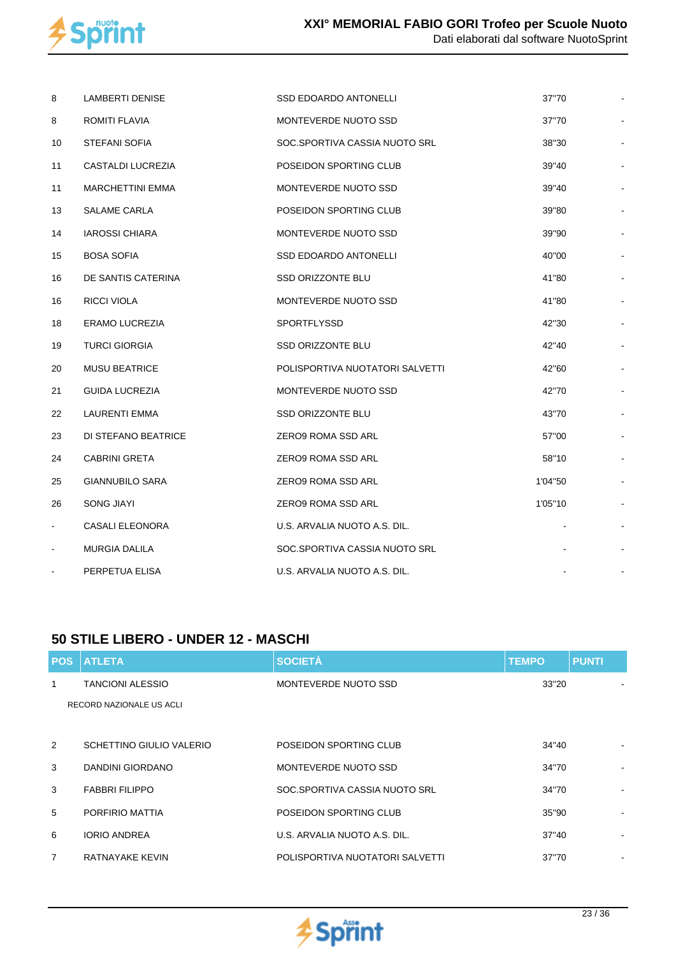

| 8              | <b>LAMBERTI DENISE</b>  | <b>SSD EDOARDO ANTONELLI</b>    | 37"70   |  |
|----------------|-------------------------|---------------------------------|---------|--|
| 8              | ROMITI FLAVIA           | MONTEVERDE NUOTO SSD            | 37"70   |  |
| 10             | STEFANI SOFIA           | SOC.SPORTIVA CASSIA NUOTO SRL   | 38"30   |  |
| 11             | CASTALDI LUCREZIA       | POSEIDON SPORTING CLUB          | 39"40   |  |
| 11             | <b>MARCHETTINI EMMA</b> | MONTEVERDE NUOTO SSD            | 39"40   |  |
| 13             | <b>SALAME CARLA</b>     | POSEIDON SPORTING CLUB          | 39"80   |  |
| 14             | <b>IAROSSI CHIARA</b>   | MONTEVERDE NUOTO SSD            | 39"90   |  |
| 15             | <b>BOSA SOFIA</b>       | SSD EDOARDO ANTONELLI           | 40"00   |  |
| 16             | DE SANTIS CATERINA      | SSD ORIZZONTE BLU               | 41"80   |  |
| 16             | <b>RICCI VIOLA</b>      | MONTEVERDE NUOTO SSD            | 41"80   |  |
| 18             | ERAMO LUCREZIA          | SPORTFLYSSD                     | 42"30   |  |
| 19             | <b>TURCI GIORGIA</b>    | SSD ORIZZONTE BLU               | 42"40   |  |
| 20             | <b>MUSU BEATRICE</b>    | POLISPORTIVA NUOTATORI SALVETTI | 42"60   |  |
| 21             | <b>GUIDA LUCREZIA</b>   | MONTEVERDE NUOTO SSD            | 42"70   |  |
| 22             | LAURENTI EMMA           | SSD ORIZZONTE BLU               | 43"70   |  |
| 23             | DI STEFANO BEATRICE     | ZERO9 ROMA SSD ARL              | 57"00   |  |
| 24             | <b>CABRINI GRETA</b>    | ZERO9 ROMA SSD ARL              | 58"10   |  |
| 25             | <b>GIANNUBILO SARA</b>  | ZERO9 ROMA SSD ARL              | 1'04"50 |  |
| 26             | <b>SONG JIAYI</b>       | ZERO9 ROMA SSD ARL              | 1'05"10 |  |
| $\blacksquare$ | <b>CASALI ELEONORA</b>  | U.S. ARVALIA NUOTO A.S. DIL.    |         |  |
| $\blacksquare$ | <b>MURGIA DALILA</b>    | SOC.SPORTIVA CASSIA NUOTO SRL   |         |  |
|                | PERPETUA ELISA          | U.S. ARVALIA NUOTO A.S. DIL.    |         |  |

#### **50 STILE LIBERO - UNDER 12 - MASCHI**

| <b>POS</b> | <b>ATLETA</b>            | <b>SOCIETÀ</b>                  | <b>TEMPO</b> | <b>PUNTI</b> |
|------------|--------------------------|---------------------------------|--------------|--------------|
| 1          | <b>TANCIONI ALESSIO</b>  | MONTEVERDE NUOTO SSD            | 33"20        |              |
|            | RECORD NAZIONALE US ACLI |                                 |              |              |
|            |                          |                                 |              |              |
| 2          | SCHETTINO GIULIO VALERIO | POSEIDON SPORTING CLUB          | 34"40        |              |
| 3          | DANDINI GIORDANO         | MONTEVERDE NUOTO SSD            | 34"70        |              |
| 3          | <b>FABBRI FILIPPO</b>    | SOC.SPORTIVA CASSIA NUOTO SRL   | 34"70        |              |
| 5          | PORFIRIO MATTIA          | POSEIDON SPORTING CLUB          | 35"90        |              |
| 6          | <b>IORIO ANDREA</b>      | U.S. ARVALIA NUOTO A.S. DIL.    | 37"40        |              |
| 7          | RATNAYAKE KEVIN          | POLISPORTIVA NUOTATORI SALVETTI | 37"70        |              |

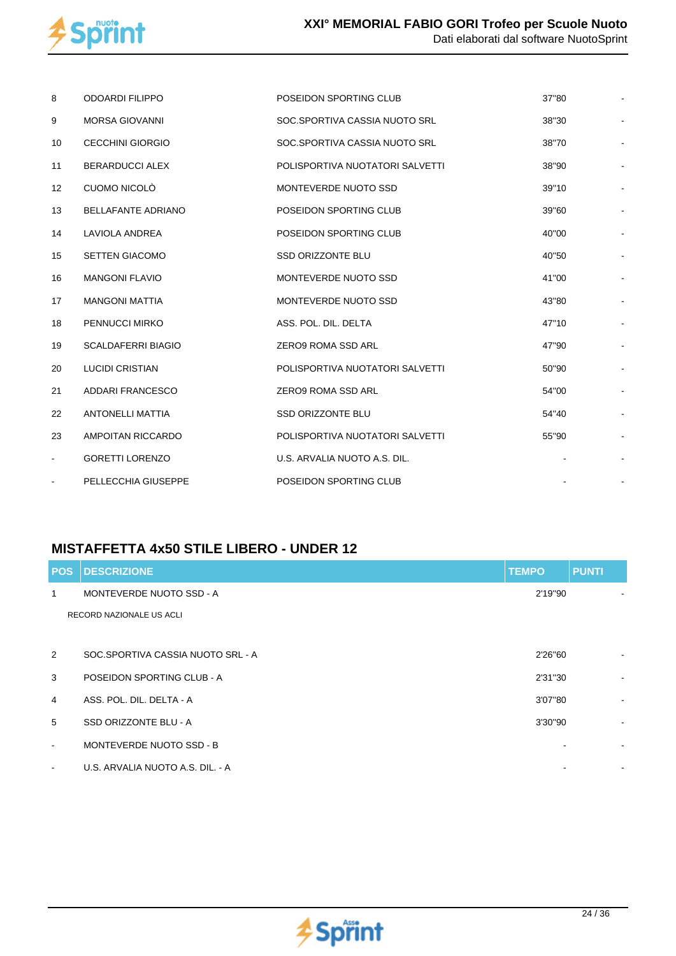

| 8              | <b>ODOARDI FILIPPO</b>    | POSEIDON SPORTING CLUB          | 37"80 |    |
|----------------|---------------------------|---------------------------------|-------|----|
| 9              | <b>MORSA GIOVANNI</b>     | SOC.SPORTIVA CASSIA NUOTO SRL   | 38"30 |    |
| 10             | <b>CECCHINI GIORGIO</b>   | SOC.SPORTIVA CASSIA NUOTO SRL   | 38"70 | ÷  |
| 11             | <b>BERARDUCCI ALEX</b>    | POLISPORTIVA NUOTATORI SALVETTI | 38"90 |    |
| 12             | CUOMO NICOLÒ              | MONTEVERDE NUOTO SSD            | 39"10 |    |
| 13             | <b>BELLAFANTE ADRIANO</b> | POSEIDON SPORTING CLUB          | 39"60 |    |
| 14             | <b>LAVIOLA ANDREA</b>     | POSEIDON SPORTING CLUB          | 40"00 |    |
| 15             | <b>SETTEN GIACOMO</b>     | <b>SSD ORIZZONTE BLU</b>        | 40"50 |    |
| 16             | <b>MANGONI FLAVIO</b>     | MONTEVERDE NUOTO SSD            | 41"00 |    |
| 17             | <b>MANGONI MATTIA</b>     | MONTEVERDE NUOTO SSD            | 43"80 |    |
| 18             | PENNUCCI MIRKO            | ASS. POL. DIL. DELTA            | 47"10 |    |
| 19             | <b>SCALDAFERRI BIAGIO</b> | <b>ZERO9 ROMA SSD ARL</b>       | 47"90 |    |
| 20             | <b>LUCIDI CRISTIAN</b>    | POLISPORTIVA NUOTATORI SALVETTI | 50"90 |    |
| 21             | ADDARI FRANCESCO          | ZERO9 ROMA SSD ARL              | 54"00 |    |
| 22             | <b>ANTONELLI MATTIA</b>   | <b>SSD ORIZZONTE BLU</b>        | 54"40 |    |
| 23             | AMPOITAN RICCARDO         | POLISPORTIVA NUOTATORI SALVETTI | 55"90 |    |
| $\blacksquare$ | <b>GORETTI LORENZO</b>    | U.S. ARVALIA NUOTO A.S. DIL.    |       |    |
|                | PELLECCHIA GIUSEPPE       | POSEIDON SPORTING CLUB          |       | ł, |

#### **MISTAFFETTA 4x50 STILE LIBERO - UNDER 12**

| <b>POS</b>     | <b>DESCRIZIONE</b>                | <b>TEMPO</b> | <b>PUNTI</b>             |
|----------------|-----------------------------------|--------------|--------------------------|
| 1              | MONTEVERDE NUOTO SSD - A          | 2'19"90      |                          |
|                | RECORD NAZIONALE US ACLI          |              |                          |
|                |                                   |              |                          |
| 2              | SOC.SPORTIVA CASSIA NUOTO SRL - A | 2'26"60      | $\sim$                   |
| 3              | POSEIDON SPORTING CLUB - A        | 2'31"30      | $\sim$                   |
| $\overline{4}$ | ASS. POL. DIL. DELTA - A          | 3'07"80      | $\overline{\phantom{a}}$ |
| 5              | SSD ORIZZONTE BLU - A             | 3'30"90      | $\overline{\phantom{a}}$ |
| $\sim$         | MONTEVERDE NUOTO SSD - B          |              | $\blacksquare$           |
| $\blacksquare$ | U.S. ARVALIA NUOTO A.S. DIL. - A  |              |                          |

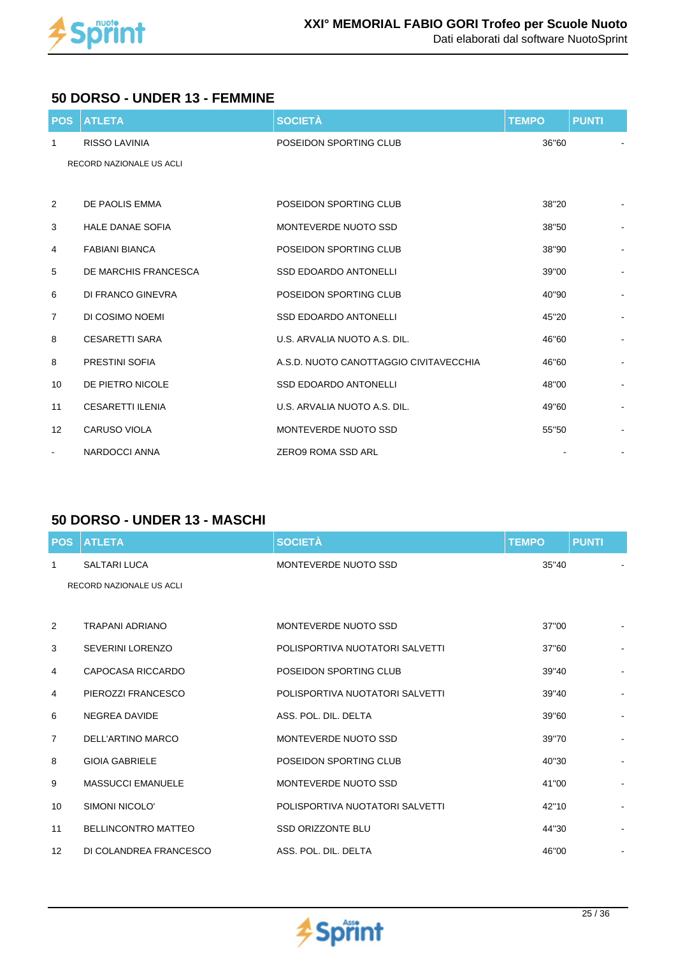

#### **50 DORSO - UNDER 13 - FEMMINE**

| <b>POS</b>               | <b>ATLETA</b>            | <b>SOCIETÀ</b>                         | <b>TEMPO</b> | <b>PUNTI</b>                 |
|--------------------------|--------------------------|----------------------------------------|--------------|------------------------------|
| $\mathbf{1}$             | <b>RISSO LAVINIA</b>     | POSEIDON SPORTING CLUB                 | 36"60        |                              |
|                          | RECORD NAZIONALE US ACLI |                                        |              |                              |
|                          |                          |                                        |              |                              |
| $\overline{2}$           | DE PAOLIS EMMA           | POSEIDON SPORTING CLUB                 | 38"20        |                              |
| 3                        | <b>HALE DANAE SOFIA</b>  | MONTEVERDE NUOTO SSD                   | 38"50        |                              |
| $\overline{4}$           | <b>FABIANI BIANCA</b>    | POSEIDON SPORTING CLUB                 | 38"90        |                              |
| 5                        | DE MARCHIS FRANCESCA     | <b>SSD EDOARDO ANTONELLI</b>           | 39"00        |                              |
| 6                        | DI FRANCO GINEVRA        | POSEIDON SPORTING CLUB                 | 40"90        | $\overline{\phantom{0}}$     |
| $\overline{7}$           | DI COSIMO NOEMI          | <b>SSD EDOARDO ANTONELLI</b>           | 45"20        | $\qquad \qquad \blacksquare$ |
| 8                        | <b>CESARETTI SARA</b>    | U.S. ARVALIA NUOTO A.S. DIL.           | 46"60        | $\overline{\phantom{0}}$     |
| 8                        | PRESTINI SOFIA           | A.S.D. NUOTO CANOTTAGGIO CIVITAVECCHIA | 46"60        |                              |
| 10                       | DE PIETRO NICOLE         | <b>SSD EDOARDO ANTONELLI</b>           | 48"00        |                              |
| 11                       | <b>CESARETTI ILENIA</b>  | U.S. ARVALIA NUOTO A.S. DIL.           | 49"60        | $\blacksquare$               |
| $12 \overline{ }$        | <b>CARUSO VIOLA</b>      | MONTEVERDE NUOTO SSD                   | 55"50        |                              |
| $\overline{\phantom{a}}$ | NARDOCCI ANNA            | <b>ZERO9 ROMA SSD ARL</b>              |              | $\overline{\phantom{a}}$     |

#### **50 DORSO - UNDER 13 - MASCHI**

| <b>POS</b>        | <b>ATLETA</b>              | <b>SOCIETÀ</b>                  | <b>TEMPO</b> | <b>PUNTI</b> |                |
|-------------------|----------------------------|---------------------------------|--------------|--------------|----------------|
| $\mathbf{1}$      | <b>SALTARI LUCA</b>        | MONTEVERDE NUOTO SSD            | 35"40        |              |                |
|                   | RECORD NAZIONALE US ACLI   |                                 |              |              |                |
|                   |                            |                                 |              |              |                |
| 2                 | TRAPANI ADRIANO            | MONTEVERDE NUOTO SSD            | 37"00        |              |                |
| 3                 | <b>SEVERINI LORENZO</b>    | POLISPORTIVA NUOTATORI SALVETTI | 37"60        |              |                |
| 4                 | CAPOCASA RICCARDO          | POSEIDON SPORTING CLUB          | 39"40        |              |                |
| 4                 | PIEROZZI FRANCESCO         | POLISPORTIVA NUOTATORI SALVETTI | 39"40        |              | $\overline{a}$ |
| 6                 | <b>NEGREA DAVIDE</b>       | ASS. POL. DIL. DELTA            | 39"60        |              |                |
| $\overline{7}$    | DELL'ARTINO MARCO          | MONTEVERDE NUOTO SSD            | 39"70        |              | $\blacksquare$ |
| 8                 | <b>GIOIA GABRIELE</b>      | POSEIDON SPORTING CLUB          | 40"30        |              |                |
| 9                 | <b>MASSUCCI EMANUELE</b>   | MONTEVERDE NUOTO SSD            | 41"00        |              |                |
| 10                | SIMONI NICOLO'             | POLISPORTIVA NUOTATORI SALVETTI | 42"10        |              |                |
| 11                | <b>BELLINCONTRO MATTEO</b> | <b>SSD ORIZZONTE BLU</b>        | 44"30        |              |                |
| $12 \overline{ }$ | DI COLANDREA FRANCESCO     | ASS. POL. DIL. DELTA            | 46"00        |              | $\overline{a}$ |

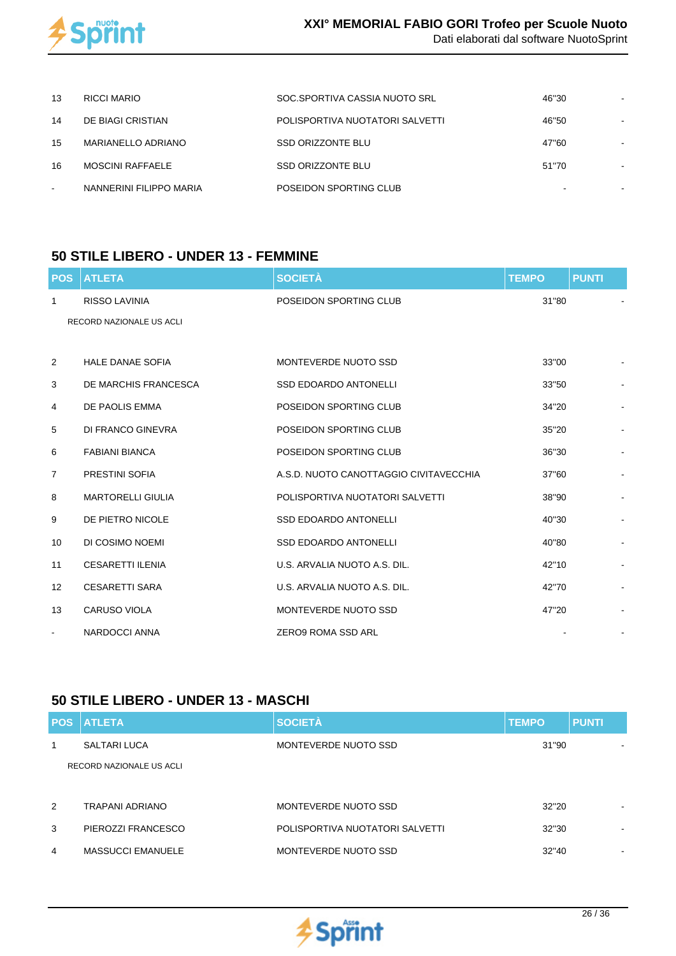

| 13     | RICCI MARIO             | SOC.SPORTIVA CASSIA NUOTO SRL   | 46"30                    |  |
|--------|-------------------------|---------------------------------|--------------------------|--|
| 14     | DE BIAGI CRISTIAN       | POLISPORTIVA NUOTATORI SALVETTI | 46"50                    |  |
| 15     | MARIANELLO ADRIANO      | SSD ORIZZONTE BLU               | 47"60                    |  |
| 16     | <b>MOSCINI RAFFAELE</b> | SSD ORIZZONTE BLU               | 51"70                    |  |
| $\sim$ | NANNERINI FILIPPO MARIA | POSEIDON SPORTING CLUB          | $\overline{\phantom{0}}$ |  |

#### **50 STILE LIBERO - UNDER 13 - FEMMINE**

| <b>POS</b>        | <b>ATLETA</b>            | <b>SOCIETÀ</b>                         | <b>TEMPO</b> | <b>PUNTI</b>   |
|-------------------|--------------------------|----------------------------------------|--------------|----------------|
| 1                 | <b>RISSO LAVINIA</b>     | POSEIDON SPORTING CLUB                 | 31"80        |                |
|                   | RECORD NAZIONALE US ACLI |                                        |              |                |
|                   |                          |                                        |              |                |
| 2                 | <b>HALE DANAE SOFIA</b>  | MONTEVERDE NUOTO SSD                   | 33"00        |                |
| 3                 | DE MARCHIS FRANCESCA     | <b>SSD EDOARDO ANTONELLI</b>           | 33"50        | $\blacksquare$ |
| 4                 | DE PAOLIS EMMA           | POSEIDON SPORTING CLUB                 | 34"20        |                |
| 5                 | DI FRANCO GINEVRA        | POSEIDON SPORTING CLUB                 | 35"20        |                |
| 6                 | <b>FABIANI BIANCA</b>    | POSEIDON SPORTING CLUB                 | 36"30        |                |
| 7                 | PRESTINI SOFIA           | A.S.D. NUOTO CANOTTAGGIO CIVITAVECCHIA | 37"60        |                |
| 8                 | <b>MARTORELLI GIULIA</b> | POLISPORTIVA NUOTATORI SALVETTI        | 38"90        |                |
| 9                 | DE PIETRO NICOLE         | <b>SSD EDOARDO ANTONELLI</b>           | 40"30        |                |
| 10                | DI COSIMO NOEMI          | SSD EDOARDO ANTONELLI                  | 40"80        | $\blacksquare$ |
| 11                | <b>CESARETTI ILENIA</b>  | U.S. ARVALIA NUOTO A.S. DIL.           | 42"10        |                |
| $12 \overline{ }$ | <b>CESARETTI SARA</b>    | U.S. ARVALIA NUOTO A.S. DIL.           | 42"70        |                |
| 13                | <b>CARUSO VIOLA</b>      | MONTEVERDE NUOTO SSD                   | 47"20        |                |
| $\blacksquare$    | NARDOCCI ANNA            | ZERO9 ROMA SSD ARL                     |              | $\blacksquare$ |

#### **50 STILE LIBERO - UNDER 13 - MASCHI**

| <b>POS</b> | <b>ATLETA</b>            | <b>SOCIETÀ</b>                  | <b>TEMPO</b> | <b>PUNTI</b> |
|------------|--------------------------|---------------------------------|--------------|--------------|
| 1          | SALTARI LUCA             | MONTEVERDE NUOTO SSD            | 31"90        |              |
|            | RECORD NAZIONALE US ACLI |                                 |              |              |
|            |                          |                                 |              |              |
| 2          | TRAPANI ADRIANO          | MONTEVERDE NUOTO SSD            | 32"20        | ۰            |
| 3          | PIEROZZI FRANCESCO       | POLISPORTIVA NUOTATORI SALVETTI | 32"30        | ۰            |
| 4          | <b>MASSUCCI EMANUELE</b> | MONTEVERDE NUOTO SSD            | 32"40        | ۰            |

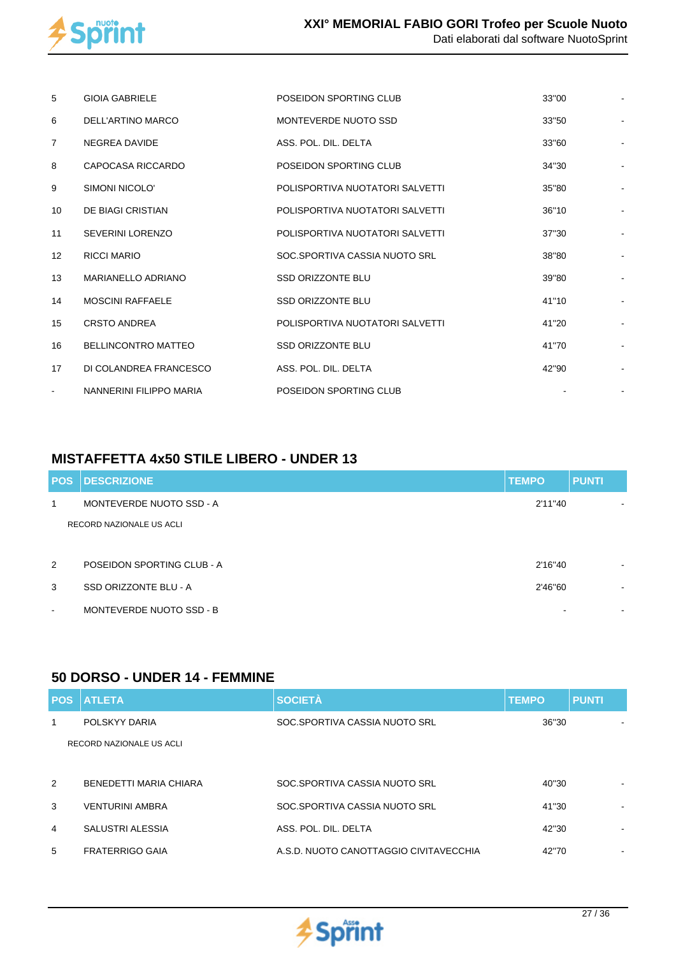

| 5                        | <b>GIOIA GABRIELE</b>      | POSEIDON SPORTING CLUB          | 33"00 |  |
|--------------------------|----------------------------|---------------------------------|-------|--|
| 6                        | DELL'ARTINO MARCO          | MONTEVERDE NUOTO SSD            | 33"50 |  |
| $\overline{7}$           | NEGREA DAVIDE              | ASS. POL. DIL. DELTA            | 33"60 |  |
| 8                        | CAPOCASA RICCARDO          | POSEIDON SPORTING CLUB          | 34"30 |  |
| 9                        | SIMONI NICOLO'             | POLISPORTIVA NUOTATORI SALVETTI | 35"80 |  |
| 10                       | DE BIAGI CRISTIAN          | POLISPORTIVA NUOTATORI SALVETTI | 36"10 |  |
| 11                       | <b>SEVERINI LORENZO</b>    | POLISPORTIVA NUOTATORI SALVETTI | 37"30 |  |
| $12 \overline{ }$        | <b>RICCI MARIO</b>         | SOC.SPORTIVA CASSIA NUOTO SRL   | 38"80 |  |
| 13                       | MARIANELLO ADRIANO         | <b>SSD ORIZZONTE BLU</b>        | 39"80 |  |
| 14                       | <b>MOSCINI RAFFAELE</b>    | <b>SSD ORIZZONTE BLU</b>        | 41"10 |  |
| 15                       | <b>CRSTO ANDREA</b>        | POLISPORTIVA NUOTATORI SALVETTI | 41"20 |  |
| 16                       | <b>BELLINCONTRO MATTEO</b> | <b>SSD ORIZZONTE BLU</b>        | 41"70 |  |
| 17                       | DI COLANDREA FRANCESCO     | ASS. POL. DIL. DELTA            | 42"90 |  |
| $\overline{\phantom{a}}$ | NANNERINI FILIPPO MARIA    | POSEIDON SPORTING CLUB          |       |  |

## **MISTAFFETTA 4x50 STILE LIBERO - UNDER 13**

| <b>POS</b> | <b>DESCRIZIONE</b>         | <b>TEMPO</b> | <b>PUNTI</b> |
|------------|----------------------------|--------------|--------------|
| 1          | MONTEVERDE NUOTO SSD - A   | 2'11"40      |              |
|            | RECORD NAZIONALE US ACLI   |              |              |
|            |                            |              |              |
| 2          | POSEIDON SPORTING CLUB - A | 2'16"40      | ۰            |
| 3          | SSD ORIZZONTE BLU - A      | 2'46"60      | ۰            |
| $\,$ $\,$  | MONTEVERDE NUOTO SSD - B   |              | ۰            |

#### **50 DORSO - UNDER 14 - FEMMINE**

| <b>POS</b>    | <b>ATLETA</b>            | <b>SOCIETÀ</b>                         | <b>TEMPO</b> | <b>PUNTI</b>             |
|---------------|--------------------------|----------------------------------------|--------------|--------------------------|
| 1             | POLSKYY DARIA            | SOC.SPORTIVA CASSIA NUOTO SRL          | 36"30        |                          |
|               | RECORD NAZIONALE US ACLI |                                        |              |                          |
|               |                          |                                        |              |                          |
| $\mathcal{P}$ | BENEDETTI MARIA CHIARA   | SOC.SPORTIVA CASSIA NUOTO SRL          | 40"30        |                          |
| 3             | <b>VENTURINI AMBRA</b>   | SOC.SPORTIVA CASSIA NUOTO SRL          | 41"30        |                          |
| 4             | SALUSTRI ALESSIA         | ASS. POL. DIL. DELTA                   | 42"30        | ۰                        |
| 5             | <b>FRATERRIGO GAIA</b>   | A.S.D. NUOTO CANOTTAGGIO CIVITAVECCHIA | 42"70        | $\overline{\phantom{a}}$ |

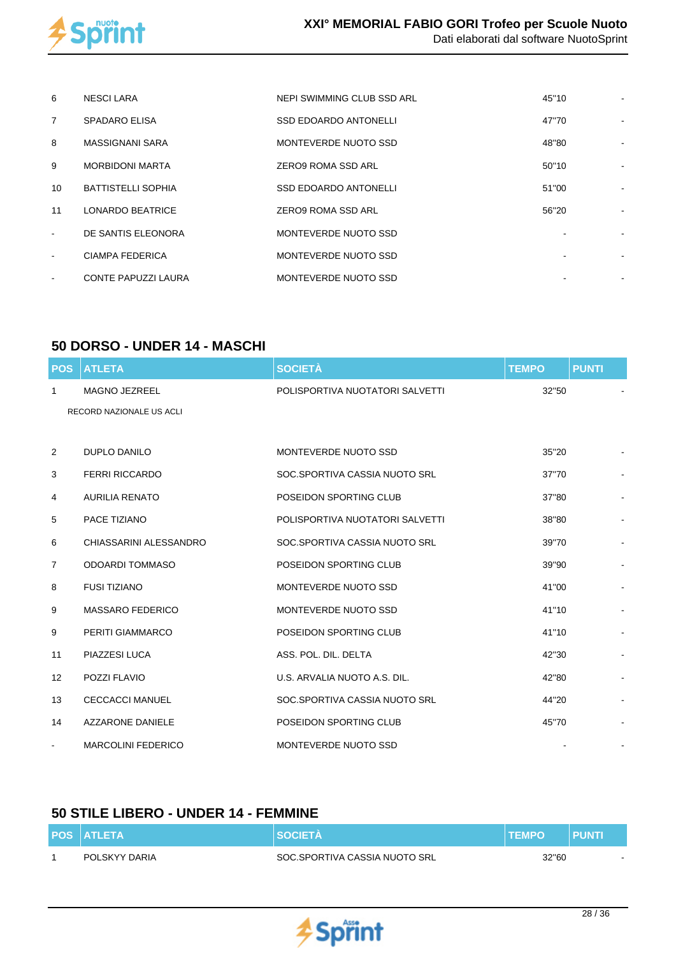

| 6                        | <b>NESCI LARA</b>          | NEPI SWIMMING CLUB SSD ARL   | 45"10 |  |
|--------------------------|----------------------------|------------------------------|-------|--|
| $\overline{7}$           | <b>SPADARO ELISA</b>       | <b>SSD EDOARDO ANTONELLI</b> | 47"70 |  |
| 8                        | MASSIGNANI SARA            | MONTEVERDE NUOTO SSD         | 48"80 |  |
| 9                        | <b>MORBIDONI MARTA</b>     | ZERO9 ROMA SSD ARL           | 50"10 |  |
| 10                       | <b>BATTISTELLI SOPHIA</b>  | <b>SSD EDOARDO ANTONELLI</b> | 51"00 |  |
| 11                       | <b>LONARDO BEATRICE</b>    | <b>ZERO9 ROMA SSD ARL</b>    | 56"20 |  |
| $\sim$                   | DE SANTIS ELEONORA         | MONTEVERDE NUOTO SSD         |       |  |
| $\overline{\phantom{a}}$ | <b>CIAMPA FEDERICA</b>     | MONTEVERDE NUOTO SSD         | ۰     |  |
| $\overline{\phantom{a}}$ | <b>CONTE PAPUZZI LAURA</b> | MONTEVERDE NUOTO SSD         |       |  |

#### **50 DORSO - UNDER 14 - MASCHI**

| <b>POS</b>        | <b>ATLETA</b>             | <b>SOCIETÀ</b>                  | <b>TEMPO</b> | <b>PUNTI</b>   |
|-------------------|---------------------------|---------------------------------|--------------|----------------|
| $\mathbf{1}$      | <b>MAGNO JEZREEL</b>      | POLISPORTIVA NUOTATORI SALVETTI | 32"50        |                |
|                   | RECORD NAZIONALE US ACLI  |                                 |              |                |
|                   |                           |                                 |              |                |
| 2                 | <b>DUPLO DANILO</b>       | MONTEVERDE NUOTO SSD            | 35"20        |                |
| 3                 | <b>FERRI RICCARDO</b>     | SOC.SPORTIVA CASSIA NUOTO SRL   | 37"70        |                |
| 4                 | <b>AURILIA RENATO</b>     | POSEIDON SPORTING CLUB          | 37"80        |                |
| 5                 | PACE TIZIANO              | POLISPORTIVA NUOTATORI SALVETTI | 38"80        |                |
| 6                 | CHIASSARINI ALESSANDRO    | SOC.SPORTIVA CASSIA NUOTO SRL   | 39"70        |                |
| $\overline{7}$    | <b>ODOARDI TOMMASO</b>    | POSEIDON SPORTING CLUB          | 39"90        |                |
| 8                 | <b>FUSI TIZIANO</b>       | MONTEVERDE NUOTO SSD            | 41"00        |                |
| 9                 | <b>MASSARO FEDERICO</b>   | MONTEVERDE NUOTO SSD            | 41"10        |                |
| 9                 | PERITI GIAMMARCO          | POSEIDON SPORTING CLUB          | 41"10        |                |
| 11                | PIAZZESI LUCA             | ASS. POL. DIL. DELTA            | 42"30        |                |
| $12 \overline{ }$ | POZZI FLAVIO              | U.S. ARVALIA NUOTO A.S. DIL.    | 42"80        |                |
| 13                | <b>CECCACCI MANUEL</b>    | SOC.SPORTIVA CASSIA NUOTO SRL   | 44"20        |                |
| 14                | <b>AZZARONE DANIELE</b>   | POSEIDON SPORTING CLUB          | 45"70        |                |
| $\blacksquare$    | <b>MARCOLINI FEDERICO</b> | MONTEVERDE NUOTO SSD            |              | $\blacksquare$ |

## **50 STILE LIBERO - UNDER 14 - FEMMINE**

| <b>POS ATLETA</b> | <b>ISOCIETA</b>               | <b>.TEMPO</b> | PUNT   |
|-------------------|-------------------------------|---------------|--------|
| POLSKYY DARIA     | SOC.SPORTIVA CASSIA NUOTO SRL | 32"60         | $\sim$ |

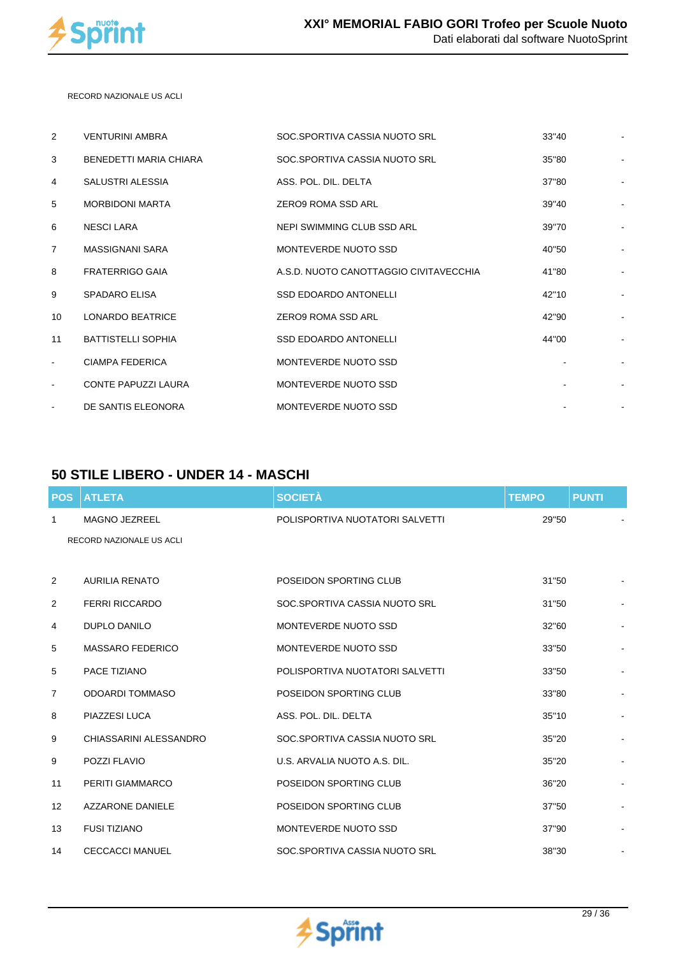

 RECORD NAZIONALE US ACLI

| 2              | <b>VENTURINI AMBRA</b>     | SOC.SPORTIVA CASSIA NUOTO SRL          | 33"40 | $\blacksquare$           |
|----------------|----------------------------|----------------------------------------|-------|--------------------------|
| 3              | BENEDETTI MARIA CHIARA     | SOC.SPORTIVA CASSIA NUOTO SRL          | 35"80 | $\overline{a}$           |
| 4              | SALUSTRI ALESSIA           | ASS. POL. DIL. DELTA                   | 37"80 | $\overline{a}$           |
| 5              | <b>MORBIDONI MARTA</b>     | ZERO9 ROMA SSD ARL                     | 39"40 | $\overline{a}$           |
| 6              | NESCI LARA                 | NEPI SWIMMING CLUB SSD ARL             | 39"70 | $\overline{a}$           |
| $\overline{7}$ | MASSIGNANI SARA            | MONTEVERDE NUOTO SSD                   | 40"50 | $\overline{\phantom{a}}$ |
| 8              | <b>FRATERRIGO GAIA</b>     | A.S.D. NUOTO CANOTTAGGIO CIVITAVECCHIA | 41"80 | $\overline{\phantom{a}}$ |
| 9              | <b>SPADARO ELISA</b>       | <b>SSD EDOARDO ANTONELLI</b>           | 42"10 |                          |
| 10             | <b>LONARDO BEATRICE</b>    | ZERO9 ROMA SSD ARL                     | 42"90 |                          |
| 11             | <b>BATTISTELLI SOPHIA</b>  | <b>SSD EDOARDO ANTONELLI</b>           | 44"00 |                          |
| $\blacksquare$ | <b>CIAMPA FEDERICA</b>     | MONTEVERDE NUOTO SSD                   |       |                          |
| $\blacksquare$ | <b>CONTE PAPUZZI LAURA</b> | MONTEVERDE NUOTO SSD                   |       |                          |
|                | DE SANTIS ELEONORA         | MONTEVERDE NUOTO SSD                   |       | $\overline{a}$           |

## **50 STILE LIBERO - UNDER 14 - MASCHI**

| <b>POS</b>     | <b>ATLETA</b>            | <b>SOCIETÀ</b>                  | <b>TEMPO</b> | <b>PUNTI</b> |                          |
|----------------|--------------------------|---------------------------------|--------------|--------------|--------------------------|
| 1              | <b>MAGNO JEZREEL</b>     | POLISPORTIVA NUOTATORI SALVETTI | 29"50        |              |                          |
|                | RECORD NAZIONALE US ACLI |                                 |              |              |                          |
|                |                          |                                 |              |              |                          |
| 2              | <b>AURILIA RENATO</b>    | POSEIDON SPORTING CLUB          | 31"50        |              |                          |
| 2              | <b>FERRI RICCARDO</b>    | SOC.SPORTIVA CASSIA NUOTO SRL   | 31"50        |              | $\overline{\phantom{a}}$ |
| 4              | <b>DUPLO DANILO</b>      | MONTEVERDE NUOTO SSD            | 32"60        |              |                          |
| 5              | <b>MASSARO FEDERICO</b>  | MONTEVERDE NUOTO SSD            | 33"50        |              |                          |
| 5              | PACE TIZIANO             | POLISPORTIVA NUOTATORI SALVETTI | 33"50        |              |                          |
| $\overline{7}$ | <b>ODOARDI TOMMASO</b>   | POSEIDON SPORTING CLUB          | 33"80        |              |                          |
| 8              | PIAZZESI LUCA            | ASS. POL. DIL. DELTA            | 35"10        |              |                          |
| 9              | CHIASSARINI ALESSANDRO   | SOC.SPORTIVA CASSIA NUOTO SRL   | 35"20        |              |                          |
| 9              | POZZI FLAVIO             | U.S. ARVALIA NUOTO A.S. DIL.    | 35"20        |              | $\overline{a}$           |
| 11             | PERITI GIAMMARCO         | POSEIDON SPORTING CLUB          | 36"20        |              |                          |
| 12             | <b>AZZARONE DANIELE</b>  | POSEIDON SPORTING CLUB          | 37"50        |              |                          |
| 13             | <b>FUSI TIZIANO</b>      | MONTEVERDE NUOTO SSD            | 37"90        |              |                          |
| 14             | <b>CECCACCI MANUEL</b>   | SOC.SPORTIVA CASSIA NUOTO SRL   | 38"30        |              | $\overline{a}$           |

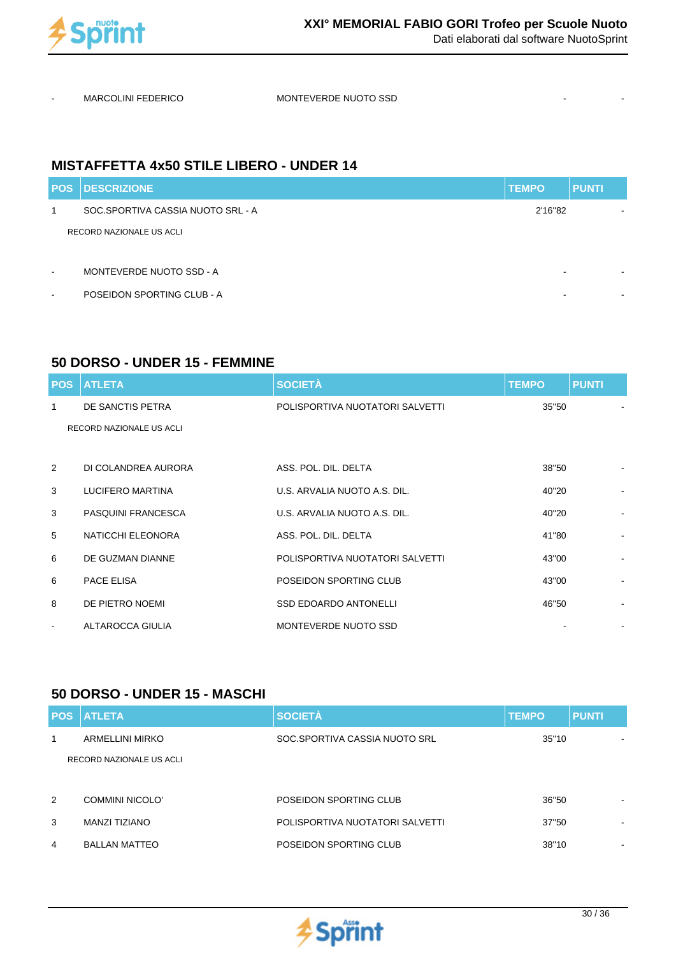

MARCOLINI FEDERICO MONTEVERDE NUOTO SSD

## **MISTAFFETTA 4x50 STILE LIBERO - UNDER 14**

|                                                                                                                                                   | <b>PUNTI</b>             |
|---------------------------------------------------------------------------------------------------------------------------------------------------|--------------------------|
| 2'16"82                                                                                                                                           | $\overline{\phantom{0}}$ |
|                                                                                                                                                   |                          |
|                                                                                                                                                   |                          |
|                                                                                                                                                   |                          |
|                                                                                                                                                   | $\blacksquare$           |
| <b>POS DESCRIZIONE</b><br>SOC SPORTIVA CASSIA NUOTO SRL - A<br>RECORD NAZIONALE US ACLI<br>MONTEVERDE NUOTO SSD - A<br>POSEIDON SPORTING CLUB - A | <b>TEMPO</b>             |

## **50 DORSO - UNDER 15 - FEMMINE**

|                | <b>POS ATLETA</b>         | <b>SOCIETÀ</b>                  | <b>TEMPO</b> | <b>PUNTI</b>             |
|----------------|---------------------------|---------------------------------|--------------|--------------------------|
| 1              | DE SANCTIS PETRA          | POLISPORTIVA NUOTATORI SALVETTI | 35"50        |                          |
|                | RECORD NAZIONALE US ACLI  |                                 |              |                          |
|                |                           |                                 |              |                          |
| 2              | DI COLANDREA AURORA       | ASS. POL. DIL. DELTA            | 38"50        |                          |
| 3              | LUCIFERO MARTINA          | U.S. ARVALIA NUOTO A.S. DIL.    | 40"20        | ۰                        |
| 3              | <b>PASQUINI FRANCESCA</b> | U.S. ARVALIA NUOTO A.S. DIL.    | 40"20        |                          |
| 5              | NATICCHI ELEONORA         | ASS. POL. DIL. DELTA            | 41"80        |                          |
| 6              | DE GUZMAN DIANNE          | POLISPORTIVA NUOTATORI SALVETTI | 43"00        |                          |
| 6              | PACE ELISA                | POSEIDON SPORTING CLUB          | 43"00        | $\overline{\phantom{a}}$ |
| 8              | DE PIETRO NOEMI           | <b>SSD EDOARDO ANTONELLI</b>    | 46"50        |                          |
| $\blacksquare$ | ALTAROCCA GIULIA          | MONTEVERDE NUOTO SSD            |              |                          |

## **50 DORSO - UNDER 15 - MASCHI**

| <b>POS</b> | <b>I ATLETA</b>          | <b>SOCIETÀ</b>                  | <b>TEMPO</b> | <b>PUNTI</b>             |
|------------|--------------------------|---------------------------------|--------------|--------------------------|
| 1          | <b>ARMELLINI MIRKO</b>   | SOC.SPORTIVA CASSIA NUOTO SRL   | 35"10        | $\overline{\phantom{a}}$ |
|            | RECORD NAZIONALE US ACLI |                                 |              |                          |
|            |                          |                                 |              |                          |
| 2          | COMMINI NICOLO'          | POSEIDON SPORTING CLUB          | 36"50        | $\overline{\phantom{a}}$ |
| 3          | MANZI TIZIANO            | POLISPORTIVA NUOTATORI SALVETTI | 37"50        | $\overline{\phantom{0}}$ |
| 4          | <b>BALLAN MATTEO</b>     | POSEIDON SPORTING CLUB          | 38"10        | $\blacksquare$           |

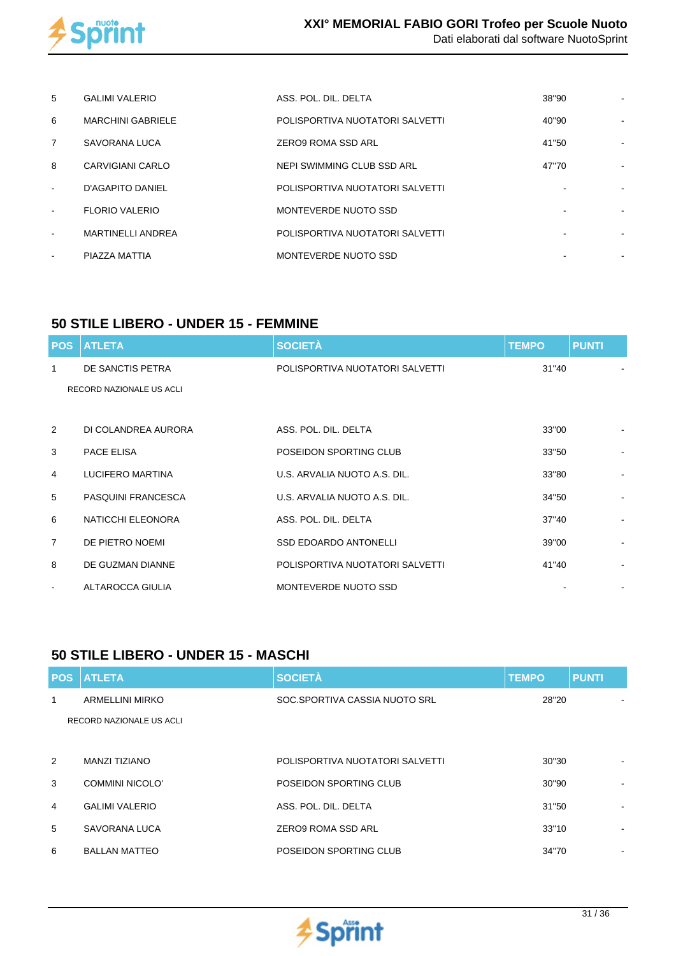

| 5                        | <b>GALIMI VALERIO</b>    | ASS. POL. DIL. DELTA            | 38"90 |  |
|--------------------------|--------------------------|---------------------------------|-------|--|
| 6                        | <b>MARCHINI GABRIELE</b> | POLISPORTIVA NUOTATORI SALVETTI | 40"90 |  |
| $\overline{7}$           | SAVORANA LUCA            | <b>ZERO9 ROMA SSD ARL</b>       | 41"50 |  |
| 8                        | CARVIGIANI CARLO         | NEPI SWIMMING CLUB SSD ARL      | 47"70 |  |
| $\blacksquare$           | D'AGAPITO DANIEL         | POLISPORTIVA NUOTATORI SALVETTI |       |  |
| $\overline{\phantom{a}}$ | <b>FLORIO VALERIO</b>    | MONTEVERDE NUOTO SSD            |       |  |
| $\overline{\phantom{a}}$ | <b>MARTINELLI ANDREA</b> | POLISPORTIVA NUOTATORI SALVETTI |       |  |
| $\overline{\phantom{a}}$ | PIAZZA MATTIA            | MONTEVERDE NUOTO SSD            |       |  |

## **50 STILE LIBERO - UNDER 15 - FEMMINE**

| <b>POS</b>     | <b>ATLETA</b>             | <b>SOCIETÀ</b>                  | <b>TEMPO</b> | <b>PUNTI</b> |
|----------------|---------------------------|---------------------------------|--------------|--------------|
| 1              | DE SANCTIS PETRA          | POLISPORTIVA NUOTATORI SALVETTI | 31"40        |              |
|                | RECORD NAZIONALE US ACLI  |                                 |              |              |
|                |                           |                                 |              |              |
| 2              | DI COLANDREA AURORA       | ASS. POL. DIL. DELTA            | 33"00        |              |
| 3              | PACE ELISA                | POSEIDON SPORTING CLUB          | 33"50        |              |
| $\overline{4}$ | <b>LUCIFERO MARTINA</b>   | U.S. ARVALIA NUOTO A.S. DIL.    | 33"80        |              |
| 5              | <b>PASQUINI FRANCESCA</b> | U.S. ARVALIA NUOTO A.S. DIL.    | 34"50        |              |
| 6              | NATICCHI ELEONORA         | ASS. POL. DIL. DELTA            | 37"40        |              |
| 7              | DE PIETRO NOEMI           | <b>SSD EDOARDO ANTONELLI</b>    | 39"00        |              |
| 8              | DE GUZMAN DIANNE          | POLISPORTIVA NUOTATORI SALVETTI | 41"40        |              |
| $\blacksquare$ | ALTAROCCA GIULIA          | MONTEVERDE NUOTO SSD            |              |              |

## **50 STILE LIBERO - UNDER 15 - MASCHI**

|   | <b>POS ATLETA</b>        | <b>SOCIETÀ</b>                  | <b>TEMPO</b> | <b>PUNTI</b>   |
|---|--------------------------|---------------------------------|--------------|----------------|
| 1 | <b>ARMELLINI MIRKO</b>   | SOC.SPORTIVA CASSIA NUOTO SRL   | 28"20        |                |
|   | RECORD NAZIONALE US ACLI |                                 |              |                |
|   |                          |                                 |              |                |
| 2 | MANZI TIZIANO            | POLISPORTIVA NUOTATORI SALVETTI | 30"30        |                |
| 3 | <b>COMMINI NICOLO'</b>   | POSEIDON SPORTING CLUB          | 30"90        |                |
| 4 | <b>GALIMI VALERIO</b>    | ASS. POL. DIL. DELTA            | 31"50        |                |
| 5 | SAVORANA LUCA            | ZERO9 ROMA SSD ARL              | 33"10        | $\blacksquare$ |
| 6 | <b>BALLAN MATTEO</b>     | POSEIDON SPORTING CLUB          | 34"70        | $\blacksquare$ |

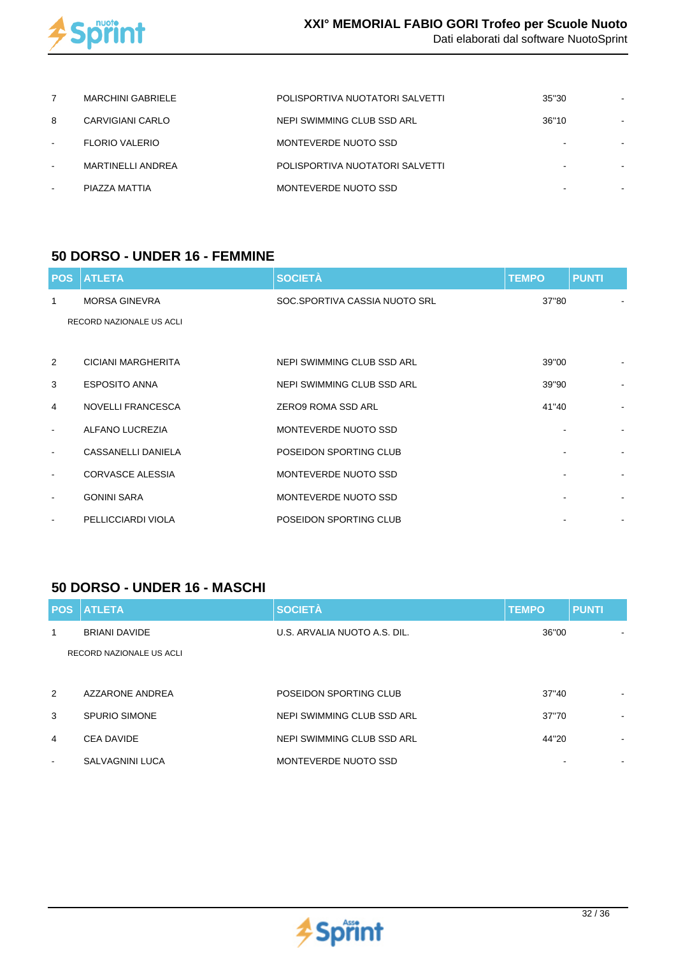

|   | <b>MARCHINI GABRIELE</b> | POLISPORTIVA NUOTATORI SALVETTI | 35"30 |  |
|---|--------------------------|---------------------------------|-------|--|
| 8 | CARVIGIANI CARLO         | NEPI SWIMMING CLUB SSD ARL      | 36"10 |  |
|   | <b>FLORIO VALERIO</b>    | MONTEVERDE NUOTO SSD            |       |  |
|   | MARTINELLI ANDREA        | POLISPORTIVA NUOTATORI SALVETTI |       |  |
|   | PIAZZA MATTIA            | MONTEVERDE NUOTO SSD            | -     |  |

#### **50 DORSO - UNDER 16 - FEMMINE**

| <b>POS</b>               | <b>ATLETA</b>             | <b>SOCIETÀ</b>                | <b>TEMPO</b> | <b>PUNTI</b>   |
|--------------------------|---------------------------|-------------------------------|--------------|----------------|
| 1                        | <b>MORSA GINEVRA</b>      | SOC.SPORTIVA CASSIA NUOTO SRL | 37"80        |                |
|                          | RECORD NAZIONALE US ACLI  |                               |              |                |
|                          |                           |                               |              |                |
| 2                        | <b>CICIANI MARGHERITA</b> | NEPI SWIMMING CLUB SSD ARL    | 39"00        |                |
| 3                        | <b>ESPOSITO ANNA</b>      | NEPI SWIMMING CLUB SSD ARL    | 39"90        | $\blacksquare$ |
| 4                        | <b>NOVELLI FRANCESCA</b>  | <b>ZERO9 ROMA SSD ARL</b>     | 41"40        |                |
| $\blacksquare$           | ALFANO LUCREZIA           | MONTEVERDE NUOTO SSD          |              |                |
| $\overline{\phantom{a}}$ | CASSANELLI DANIELA        | POSEIDON SPORTING CLUB        |              | $\sim$         |
| $\blacksquare$           | <b>CORVASCE ALESSIA</b>   | MONTEVERDE NUOTO SSD          |              |                |
| $\blacksquare$           | <b>GONINI SARA</b>        | MONTEVERDE NUOTO SSD          |              |                |
| $\blacksquare$           | PELLICCIARDI VIOLA        | POSEIDON SPORTING CLUB        |              |                |

#### **50 DORSO - UNDER 16 - MASCHI**

|                | <b>POS ATLETA</b>        | <b>SOCIETÀ</b>               | <b>TEMPO</b> | <b>PUNTI</b>   |
|----------------|--------------------------|------------------------------|--------------|----------------|
| 1              | <b>BRIANI DAVIDE</b>     | U.S. ARVALIA NUOTO A.S. DIL. | 36"00        |                |
|                | RECORD NAZIONALE US ACLI |                              |              |                |
|                |                          |                              |              |                |
| 2              | AZZARONE ANDREA          | POSEIDON SPORTING CLUB       | 37"40        | $\,$           |
| 3              | SPURIO SIMONE            | NEPI SWIMMING CLUB SSD ARL   | 37"70        | $\,$           |
| $\overline{4}$ | <b>CEA DAVIDE</b>        | NEPI SWIMMING CLUB SSD ARL   | 44"20        | $\blacksquare$ |
| $\sim$         | SALVAGNINI LUCA          | MONTEVERDE NUOTO SSD         |              | $\,$           |

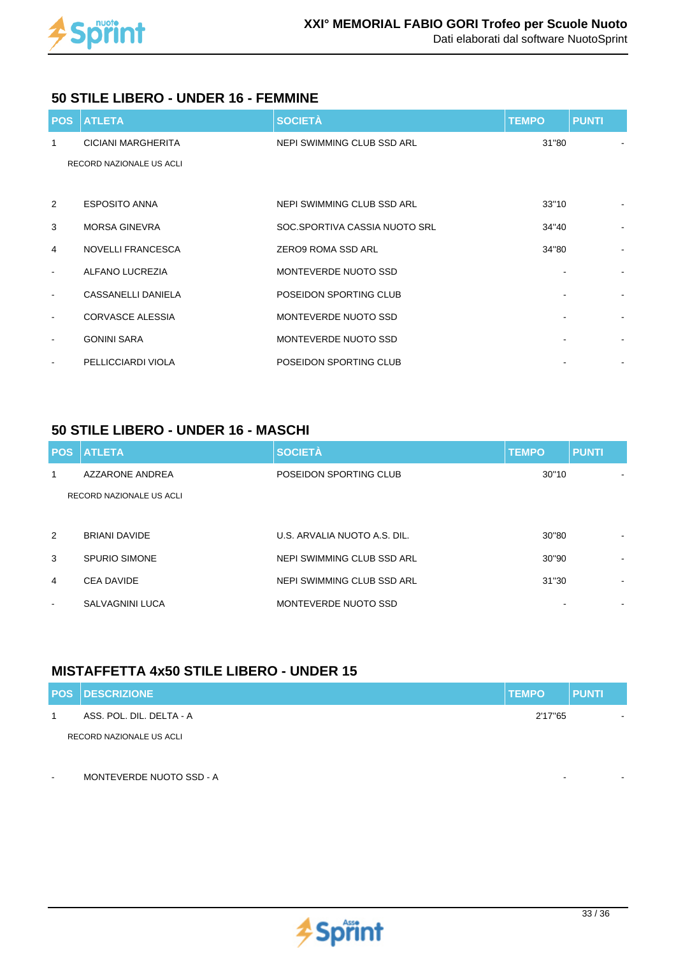

#### **50 STILE LIBERO - UNDER 16 - FEMMINE**

|                          | <b>POS ATLETA</b>         | <b>SOCIETÀ</b>                | <b>TEMPO</b> | <b>PUNTI</b>   |
|--------------------------|---------------------------|-------------------------------|--------------|----------------|
| -1                       | <b>CICIANI MARGHERITA</b> | NEPI SWIMMING CLUB SSD ARL    | 31"80        |                |
|                          | RECORD NAZIONALE US ACLI  |                               |              |                |
|                          |                           |                               |              |                |
| 2                        | <b>ESPOSITO ANNA</b>      | NEPI SWIMMING CLUB SSD ARL    | 33"10        | $\blacksquare$ |
| 3                        | <b>MORSA GINEVRA</b>      | SOC.SPORTIVA CASSIA NUOTO SRL | 34"40        |                |
| 4                        | <b>NOVELLI FRANCESCA</b>  | ZERO9 ROMA SSD ARL            | 34"80        |                |
| $\overline{\phantom{a}}$ | ALFANO LUCREZIA           | MONTEVERDE NUOTO SSD          |              |                |
| $\blacksquare$           | CASSANELLI DANIELA        | POSEIDON SPORTING CLUB        |              | $\blacksquare$ |
| $\blacksquare$           | <b>CORVASCE ALESSIA</b>   | MONTEVERDE NUOTO SSD          |              |                |
| $\overline{\phantom{a}}$ | <b>GONINI SARA</b>        | MONTEVERDE NUOTO SSD          |              |                |
|                          | PELLICCIARDI VIOLA        | POSEIDON SPORTING CLUB        |              |                |

## **50 STILE LIBERO - UNDER 16 - MASCHI**

|                | <b>POS ATLETA</b>        | <b>SOCIETÀ</b>               | <b>TEMPO</b> | <b>PUNTI</b>   |
|----------------|--------------------------|------------------------------|--------------|----------------|
| 1              | AZZARONE ANDREA          | POSEIDON SPORTING CLUB       | 30"10        |                |
|                | RECORD NAZIONALE US ACLI |                              |              |                |
|                |                          |                              |              |                |
| 2              | <b>BRIANI DAVIDE</b>     | U.S. ARVALIA NUOTO A.S. DIL. | 30"80        | $\blacksquare$ |
| 3              | SPURIO SIMONE            | NEPI SWIMMING CLUB SSD ARL   | 30"90        | $\,$           |
| $\overline{4}$ | <b>CEA DAVIDE</b>        | NEPI SWIMMING CLUB SSD ARL   | 31"30        | $\,$           |
| $\blacksquare$ | SALVAGNINI LUCA          | MONTEVERDE NUOTO SSD         |              |                |

## **MISTAFFETTA 4x50 STILE LIBERO - UNDER 15**

| <b>POS DESCRIZIONE</b>   | <b>TEMPO</b> | <b>PUNTI</b> |
|--------------------------|--------------|--------------|
| ASS. POL. DIL. DELTA - A | 2'17"65      | . .          |
| RECORD NAZIONALE US ACLI |              |              |

MONTEVERDE NUOTO SSD - A

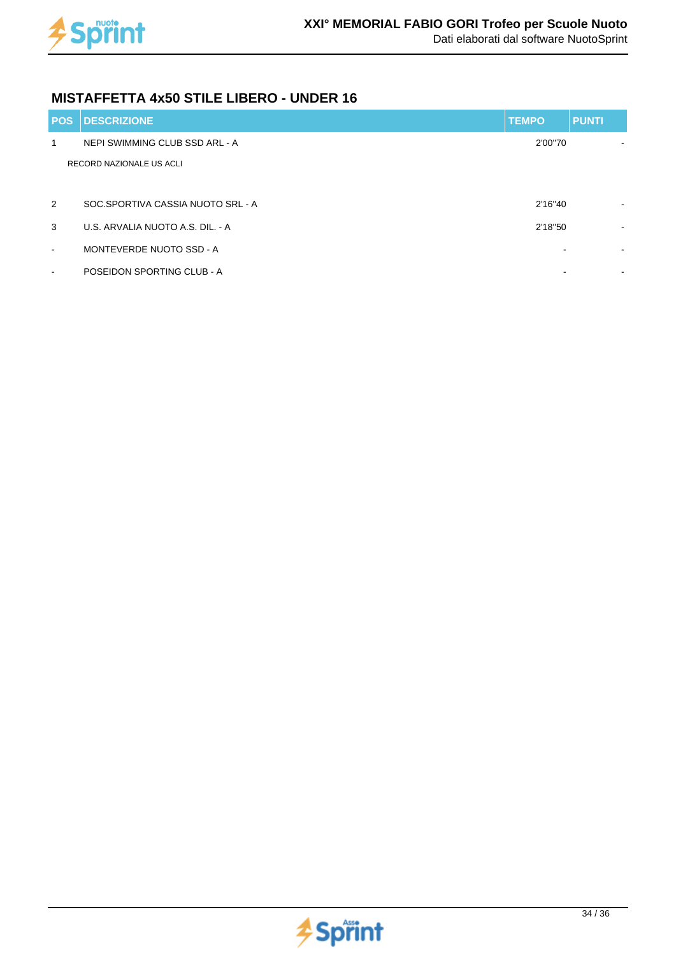

## **MISTAFFETTA 4x50 STILE LIBERO - UNDER 16**

| <b>POS</b>     | <b>IDESCRIZIONE</b>               | <b>TEMPO</b> | <b>PUNTI</b> |
|----------------|-----------------------------------|--------------|--------------|
| 1              | NEPI SWIMMING CLUB SSD ARL - A    | 2'00"70      |              |
|                | RECORD NAZIONALE US ACLI          |              |              |
|                |                                   |              |              |
| 2              | SOC.SPORTIVA CASSIA NUOTO SRL - A | 2'16"40      | $\,$         |
| 3              | U.S. ARVALIA NUOTO A.S. DIL. - A  | 2'18"50      | $\,$         |
| $\blacksquare$ | MONTEVERDE NUOTO SSD - A          |              |              |
| $\blacksquare$ | POSEIDON SPORTING CLUB - A        |              | ۰            |

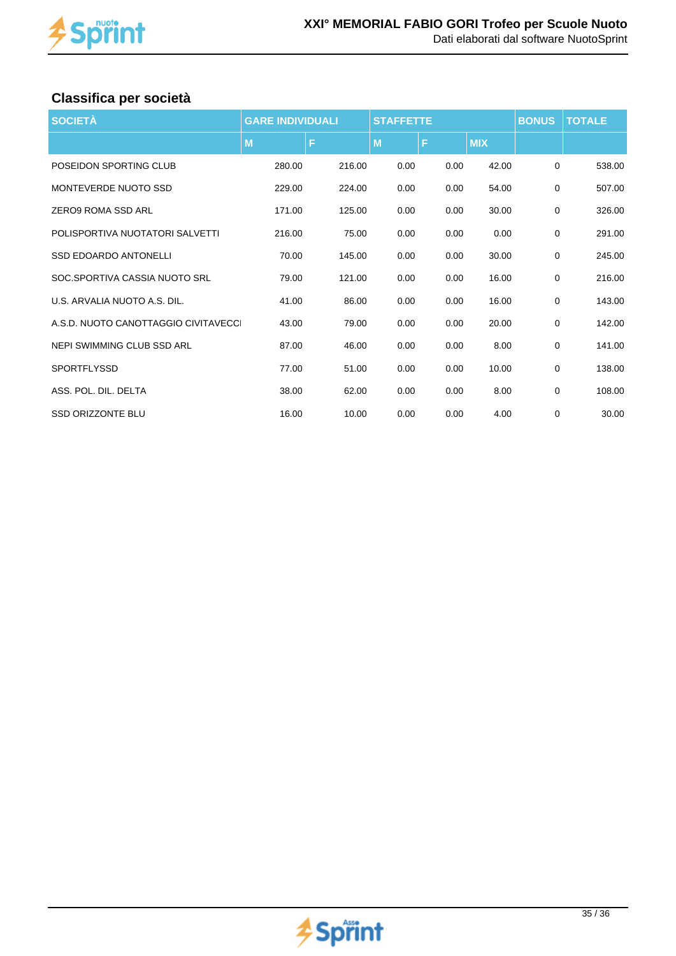

## **Classifica per società**

| <b>SOCIETÀ</b>                       | <b>GARE INDIVIDUALI</b> |        | <b>STAFFETTE</b> |      |            | <b>BONUS</b> | <b>TOTALE</b> |
|--------------------------------------|-------------------------|--------|------------------|------|------------|--------------|---------------|
|                                      | M                       | F      | M                | F    | <b>MIX</b> |              |               |
| POSEIDON SPORTING CLUB               | 280.00                  | 216.00 | 0.00             | 0.00 | 42.00      | 0            | 538.00        |
| MONTEVERDE NUOTO SSD                 | 229.00                  | 224.00 | 0.00             | 0.00 | 54.00      | $\mathbf 0$  | 507.00        |
| ZERO9 ROMA SSD ARL                   | 171.00                  | 125.00 | 0.00             | 0.00 | 30.00      | $\mathbf 0$  | 326.00        |
| POLISPORTIVA NUOTATORI SALVETTI      | 216.00                  | 75.00  | 0.00             | 0.00 | 0.00       | $\mathbf 0$  | 291.00        |
| <b>SSD EDOARDO ANTONELLI</b>         | 70.00                   | 145.00 | 0.00             | 0.00 | 30.00      | 0            | 245.00        |
| SOC.SPORTIVA CASSIA NUOTO SRL        | 79.00                   | 121.00 | 0.00             | 0.00 | 16.00      | $\mathbf 0$  | 216.00        |
| U.S. ARVALIA NUOTO A.S. DIL.         | 41.00                   | 86.00  | 0.00             | 0.00 | 16.00      | 0            | 143.00        |
| A.S.D. NUOTO CANOTTAGGIO CIVITAVECCI | 43.00                   | 79.00  | 0.00             | 0.00 | 20.00      | $\mathbf 0$  | 142.00        |
| NEPI SWIMMING CLUB SSD ARL           | 87.00                   | 46.00  | 0.00             | 0.00 | 8.00       | $\mathbf 0$  | 141.00        |
| <b>SPORTFLYSSD</b>                   | 77.00                   | 51.00  | 0.00             | 0.00 | 10.00      | $\mathbf 0$  | 138.00        |
| ASS. POL. DIL. DELTA                 | 38.00                   | 62.00  | 0.00             | 0.00 | 8.00       | 0            | 108.00        |
| <b>SSD ORIZZONTE BLU</b>             | 16.00                   | 10.00  | 0.00             | 0.00 | 4.00       | $\mathbf 0$  | 30.00         |